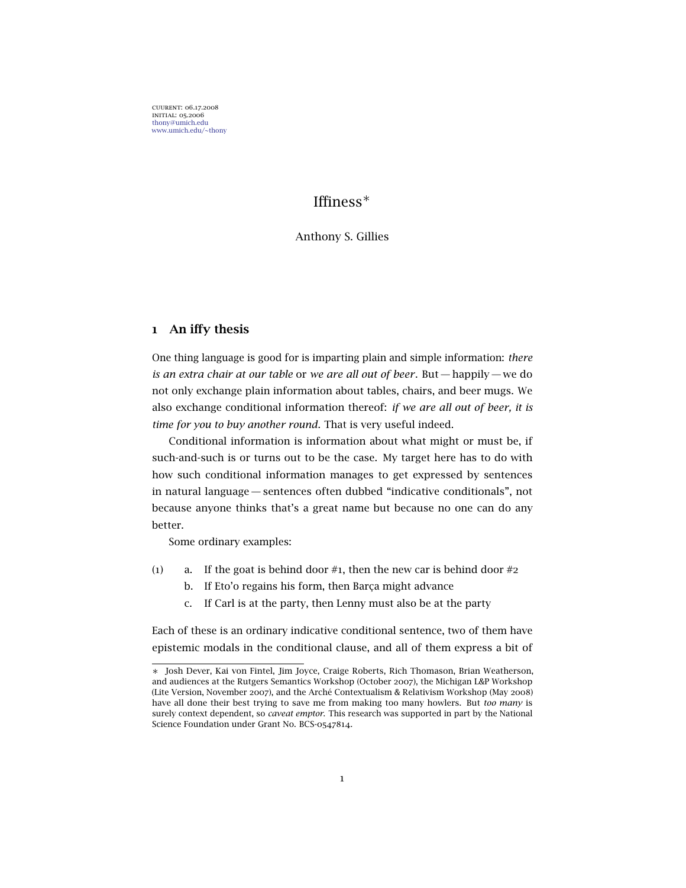cuurent: 06.17.2008 initial: 05.2006 <thony@umich.edu> <www.umich.edu/~thony>

# Iffiness<sup>∗</sup>

### Anthony S. Gillies

## 1 An iffy thesis

One thing language is good for is imparting plain and simple information: *there is an extra chair at our table* or *we are all out of beer*. But— happily— we do not only exchange plain information about tables, chairs, and beer mugs. We also exchange conditional information thereof: *if we are all out of beer, it is time for you to buy another round*. That is very useful indeed.

Conditional information is information about what might or must be, if such-and-such is or turns out to be the case. My target here has to do with how such conditional information manages to get expressed by sentences in natural language— sentences often dubbed "indicative conditionals", not because anyone thinks that's a great name but because no one can do any better.

Some ordinary examples:

- <span id="page-0-1"></span><span id="page-0-0"></span>(1) a. If the goat is behind door  $\#$ 1, then the new car is behind door  $\#$ 2
	- b. If Eto'o regains his form, then Barça might advance
	- c. If Carl is at the party, then Lenny must also be at the party

Each of these is an ordinary indicative conditional sentence, two of them have epistemic modals in the conditional clause, and all of them express a bit of

<sup>∗</sup> Josh Dever, Kai von Fintel, Jim Joyce, Craige Roberts, Rich Thomason, Brian Weatherson, and audiences at the Rutgers Semantics Workshop (October 2007), the Michigan L&P Workshop (Lite Version, November 2007), and the Arché Contextualism & Relativism Workshop (May 2008) have all done their best trying to save me from making too many howlers. But *too many* is surely context dependent, so *caveat emptor*. This research was supported in part by the National Science Foundation under Grant No. BCS-0547814.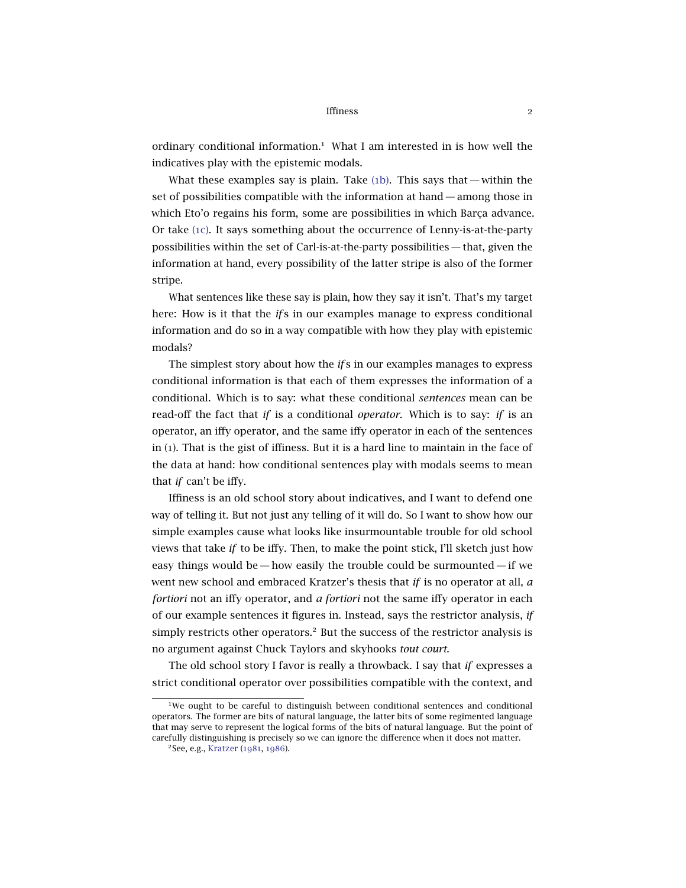ordinary conditional information.<sup>1</sup> What I am interested in is how well the indicatives play with the epistemic modals.

What these examples say is plain. Take  $(1b)$ . This says that — within the set of possibilities compatible with the information at hand— among those in which Eto'o regains his form, some are possibilities in which Barça advance. Or take (1[c\).](#page-0-1) It says something about the occurrence of Lenny-is-at-the-party possibilities within the set of Carl-is-at-the-party possibilities — that, given the information at hand, every possibility of the latter stripe is also of the former stripe.

What sentences like these say is plain, how they say it isn't. That's my target here: How is it that the *if* s in our examples manage to express conditional information and do so in a way compatible with how they play with epistemic modals?

The simplest story about how the *if* s in our examples manages to express conditional information is that each of them expresses the information of a conditional. Which is to say: what these conditional *sentences* mean can be read-off the fact that *if* is a conditional *operator*. Which is to say: *if* is an operator, an iffy operator, and the same iffy operator in each of the sentences in (1). That is the gist of iffiness. But it is a hard line to maintain in the face of the data at hand: how conditional sentences play with modals seems to mean that *if* can't be iffy.

Iffiness is an old school story about indicatives, and I want to defend one way of telling it. But not just any telling of it will do. So I want to show how our simple examples cause what looks like insurmountable trouble for old school views that take *if* to be iffy. Then, to make the point stick, I'll sketch just how easy things would be — how easily the trouble could be surmounted — if we went new school and embraced Kratzer's thesis that *if* is no operator at all, *a fortiori* not an iffy operator, and *a fortiori* not the same iffy operator in each of our example sentences it figures in. Instead, says the restrictor analysis, *if* simply restricts other operators.<sup>2</sup> But the success of the restrictor analysis is no argument against Chuck Taylors and skyhooks *tout court*.

The old school story I favor is really a throwback. I say that *if* expresses a strict conditional operator over possibilities compatible with the context, and

<sup>&</sup>lt;sup>1</sup>We ought to be careful to distinguish between conditional sentences and conditional operators. The former are bits of natural language, the latter bits of some regimented language that may serve to represent the logical forms of the bits of natural language. But the point of carefully distinguishing is precisely so we can ignore the difference when it does not matter.

<sup>2</sup>See, e.g., [Kratzer](#page-31-0) ([1981](#page-31-0), [1986](#page-31-1)).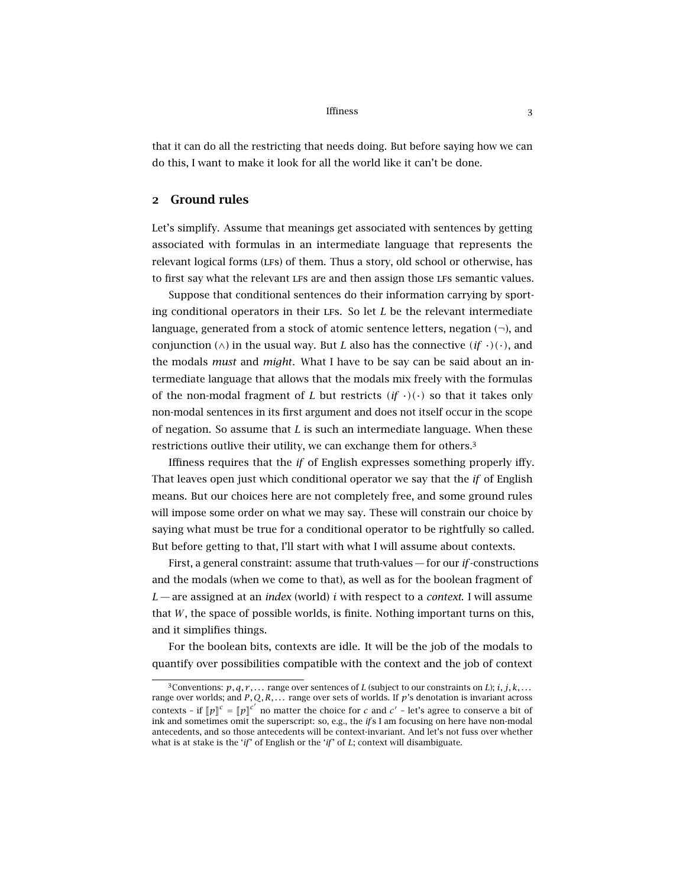that it can do all the restricting that needs doing. But before saying how we can do this, I want to make it look for all the world like it can't be done.

## 2 Ground rules

Let's simplify. Assume that meanings get associated with sentences by getting associated with formulas in an intermediate language that represents the relevant logical forms (LFs) of them. Thus a story, old school or otherwise, has to first say what the relevant LFs are and then assign those LFs semantic values.

Suppose that conditional sentences do their information carrying by sporting conditional operators in their lfs. So let *L* be the relevant intermediate language, generated from a stock of atomic sentence letters, negation  $(\neg)$ , and conjunction ( $\wedge$ ) in the usual way. But *L* also has the connective  $(i f \cdot)(\cdot)$ , and the modals *must* and *might*. What I have to be say can be said about an intermediate language that allows that the modals mix freely with the formulas of the non-modal fragment of *L* but restricts  $(i f \cdot)(\cdot)$  so that it takes only non-modal sentences in its first argument and does not itself occur in the scope of negation. So assume that *L* is such an intermediate language. When these restrictions outlive their utility, we can exchange them for others.<sup>3</sup>

Iffiness requires that the *if* of English expresses something properly iffy. That leaves open just which conditional operator we say that the *if* of English means. But our choices here are not completely free, and some ground rules will impose some order on what we may say. These will constrain our choice by saying what must be true for a conditional operator to be rightfully so called. But before getting to that, I'll start with what I will assume about contexts.

First, a general constraint: assume that truth-values — for our *if*-constructions and the modals (when we come to that), as well as for the boolean fragment of *L*— are assigned at an *index* (world) *i* with respect to a *context*. I will assume that *W*, the space of possible worlds, is finite. Nothing important turns on this, and it simplifies things.

For the boolean bits, contexts are idle. It will be the job of the modals to quantify over possibilities compatible with the context and the job of context

<sup>&</sup>lt;sup>3</sup> Conventions:  $p, q, r, \ldots$  range over sentences of *L* (subject to our constraints on *L*);  $i, j, k, \ldots$ range over worlds; and *P, Q, R, . . .* range over sets of worlds. If *p*'s denotation is invariant across contexts – if  $[\![p]\!]^c = [\![p]\!]^c'$  no matter the choice for *c* and *c*' – let's agree to conserve a bit of ink and sometimes omit the superscript: so, e.g., the *if* s I am focusing on here have non-modal antecedents, and so those antecedents will be context-invariant. And let's not fuss over whether what is at stake is the '*if*' of English or the '*if*' of *L*; context will disambiguate.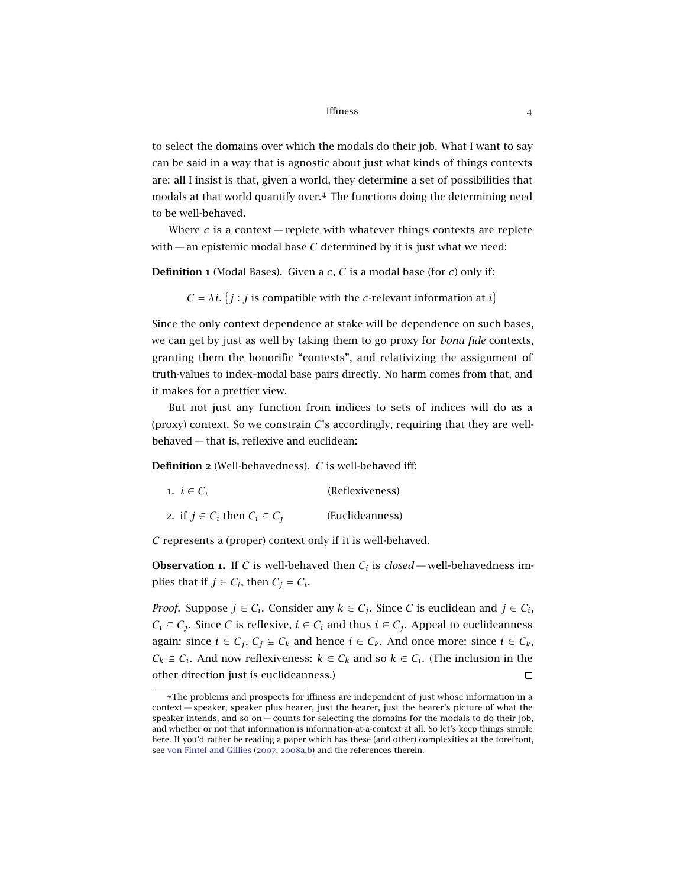to select the domains over which the modals do their job. What I want to say can be said in a way that is agnostic about just what kinds of things contexts are: all I insist is that, given a world, they determine a set of possibilities that modals at that world quantify over.<sup>4</sup> The functions doing the determining need to be well-behaved.

Where  $c$  is a context — replete with whatever things contexts are replete with — an epistemic modal base *C* determined by it is just what we need:

Definition 1 (Modal Bases). Given a *c*, *C* is a modal base (for *c*) only if:

 $C = \lambda i$ . {*j* : *j* is compatible with the *c*-relevant information at *i*}

Since the only context dependence at stake will be dependence on such bases, we can get by just as well by taking them to go proxy for *bona fide* contexts, granting them the honorific "contexts", and relativizing the assignment of truth-values to index–modal base pairs directly. No harm comes from that, and it makes for a prettier view.

But not just any function from indices to sets of indices will do as a (proxy) context. So we constrain *C*'s accordingly, requiring that they are wellbehaved — that is, reflexive and euclidean:

<span id="page-3-0"></span>Definition 2 (Well-behavedness). *C* is well-behaved iff:

| 1. $i \in C_i$                             | (Reflexiveness) |
|--------------------------------------------|-----------------|
| 2. if $j \in C_i$ then $C_i \subseteq C_j$ | (Euclideanness) |

*C* represents a (proper) context only if it is well-behaved.

**Observation 1.** If *C* is well-behaved then  $C_i$  is  $closed$ —well-behavedness implies that if  $j \in C_i$ , then  $C_j = C_i$ .

*Proof.* Suppose  $j \in C_i$ . Consider any  $k \in C_j$ . Since *C* is euclidean and  $j \in C_i$ , *C*<sup>*i*</sup> ⊆ *C*<sup>*j*</sup>. Since *C* is reflexive, *i* ∈ *C*<sup>*i*</sup> and thus *i* ∈ *C*<sup>*j*</sup>. Appeal to euclideanness again: since  $i \in C_j$ ,  $C_j \subseteq C_k$  and hence  $i \in C_k$ . And once more: since  $i \in C_k$ , *C*<sup>*k*</sup> ⊆ *C*<sup>*i*</sup>. And now reflexiveness:  $k ∈ C_k$  and so  $k ∈ C_i$ . (The inclusion in the other direction just is euclideanness.)  $\Box$ 

<sup>4</sup>The problems and prospects for iffiness are independent of just whose information in a context— speaker, speaker plus hearer, just the hearer, just the hearer's picture of what the speaker intends, and so on— counts for selecting the domains for the modals to do their job, and whether or not that information is information-at-a-context at all. So let's keep things simple here. If you'd rather be reading a paper which has these (and other) complexities at the forefront, see [von Fintel and Gillies](#page-30-0) ([2007](#page-30-0), [2008](#page-30-1)a[,b\)](#page-30-2) and the references therein.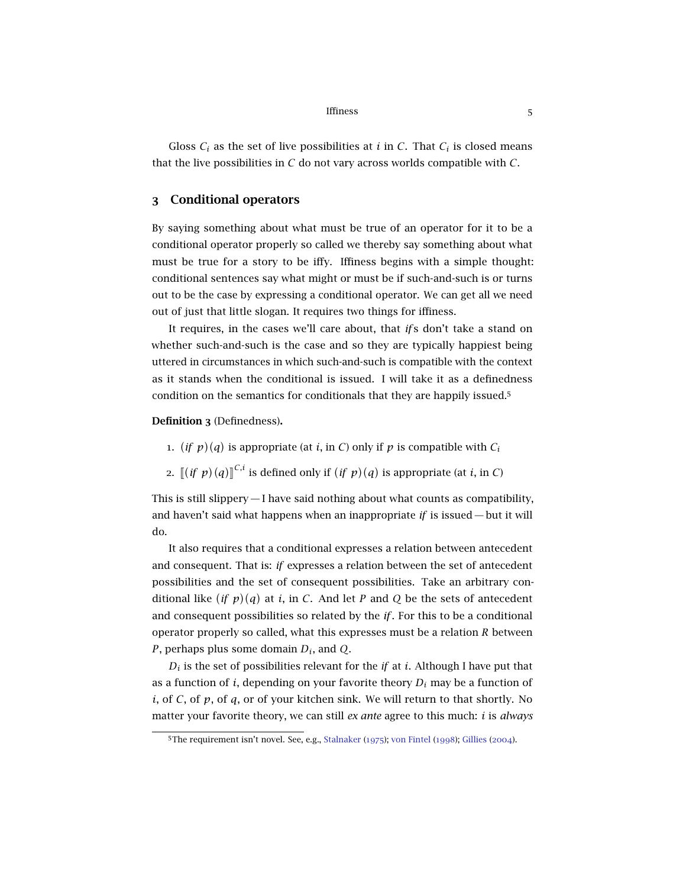Gloss  $C_i$  as the set of live possibilities at *i* in *C*. That  $C_i$  is closed means that the live possibilities in *C* do not vary across worlds compatible with *C*.

## 3 Conditional operators

By saying something about what must be true of an operator for it to be a conditional operator properly so called we thereby say something about what must be true for a story to be iffy. Iffiness begins with a simple thought: conditional sentences say what might or must be if such-and-such is or turns out to be the case by expressing a conditional operator. We can get all we need out of just that little slogan. It requires two things for iffiness.

It requires, in the cases we'll care about, that *if* s don't take a stand on whether such-and-such is the case and so they are typically happiest being uttered in circumstances in which such-and-such is compatible with the context as it stands when the conditional is issued. I will take it as a definedness condition on the semantics for conditionals that they are happily issued.<sup>5</sup>

Definition 3 (Definedness).

- 1. (*if*  $p$ )(*q*) is appropriate (at *i*, in *C*) only if *p* is compatible with  $C_i$
- 2.  $\left[ \left( \text{if } p \right) (q) \right]^{C,i}$  is defined only if  $(\text{if } p)(q)$  is appropriate (at *i*, in *C*)

This is still slippery— I have said nothing about what counts as compatibility, and haven't said what happens when an inappropriate *if* is issued — but it will do.

It also requires that a conditional expresses a relation between antecedent and consequent. That is: *if* expresses a relation between the set of antecedent possibilities and the set of consequent possibilities. Take an arbitrary conditional like  $(if\ p)(q)$  at *i*, in *C*. And let *P* and *Q* be the sets of antecedent and consequent possibilities so related by the *if*. For this to be a conditional operator properly so called, what this expresses must be a relation *R* between *P*, perhaps plus some domain *Di*, and *Q*.

 $D_i$  is the set of possibilities relevant for the *if* at *i*. Although I have put that as a function of  $i$ , depending on your favorite theory  $D_i$  may be a function of *i*, of *C*, of *p*, of *q*, or of your kitchen sink. We will return to that shortly. No matter your favorite theory, we can still *ex ante* agree to this much: *i* is *always*

<sup>5</sup>The requirement isn't novel. See, e.g., [Stalnaker](#page-31-2) ([1975](#page-31-2)); [von Fintel](#page-30-3) ([1998](#page-30-3)); [Gillies](#page-31-3) ([2004](#page-31-3)).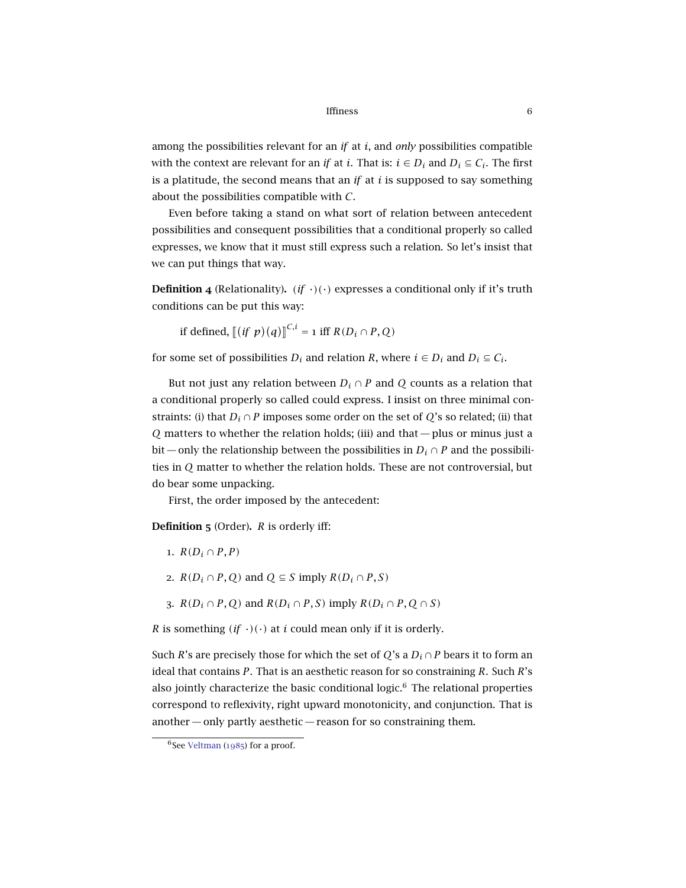among the possibilities relevant for an *if* at *i*, and *only* possibilities compatible with the context are relevant for an *if* at *i*. That is:  $i \in D_i$  and  $D_i \subseteq C_i$ . The first is a platitude, the second means that an *if* at *i* is supposed to say something about the possibilities compatible with *C*.

Even before taking a stand on what sort of relation between antecedent possibilities and consequent possibilities that a conditional properly so called expresses, we know that it must still express such a relation. So let's insist that we can put things that way.

**Definition 4** (Relationality). *(if*  $\cdot$ )( $\cdot$ ) expresses a conditional only if it's truth conditions can be put this way:

if defined,  $[(if \ p)(q)]^{C,i} = 1$  iff  $R(D_i \cap P, Q)$ 

for some set of possibilities  $D_i$  and relation  $R$ , where  $i \in D_i$  and  $D_i \subseteq C_i$ .

But not just any relation between  $D_i \cap P$  and  $Q$  counts as a relation that a conditional properly so called could express. I insist on three minimal constraints: (i) that  $D_i \cap P$  imposes some order on the set of *Q*'s so related; (ii) that *Q* matters to whether the relation holds; (iii) and that— plus or minus just a bit — only the relationship between the possibilities in  $D_i \cap P$  and the possibilities in *Q* matter to whether the relation holds. These are not controversial, but do bear some unpacking.

First, the order imposed by the antecedent:

<span id="page-5-0"></span>Definition 5 (Order). *R* is orderly iff:

- 1.  $R(D_i \cap P, P)$
- 2.  $R(D_i \cap P, Q)$  and  $Q \subseteq S$  imply  $R(D_i \cap P, S)$
- 3.  $R(D_i \cap P, Q)$  and  $R(D_i \cap P, S)$  imply  $R(D_i \cap P, Q \cap S)$

*R* is something  $(f \cdot)(\cdot)$  at *i* could mean only if it is orderly.

Such *R*'s are precisely those for which the set of *Q*'s a  $D_i \cap P$  bears it to form an ideal that contains *P*. That is an aesthetic reason for so constraining *R*. Such *R*'s also jointly characterize the basic conditional logic. $6$  The relational properties correspond to reflexivity, right upward monotonicity, and conjunction. That is another — only partly aesthetic — reason for so constraining them.

 $6$ See [Veltman](#page-31-4) ([1985](#page-31-4)) for a proof.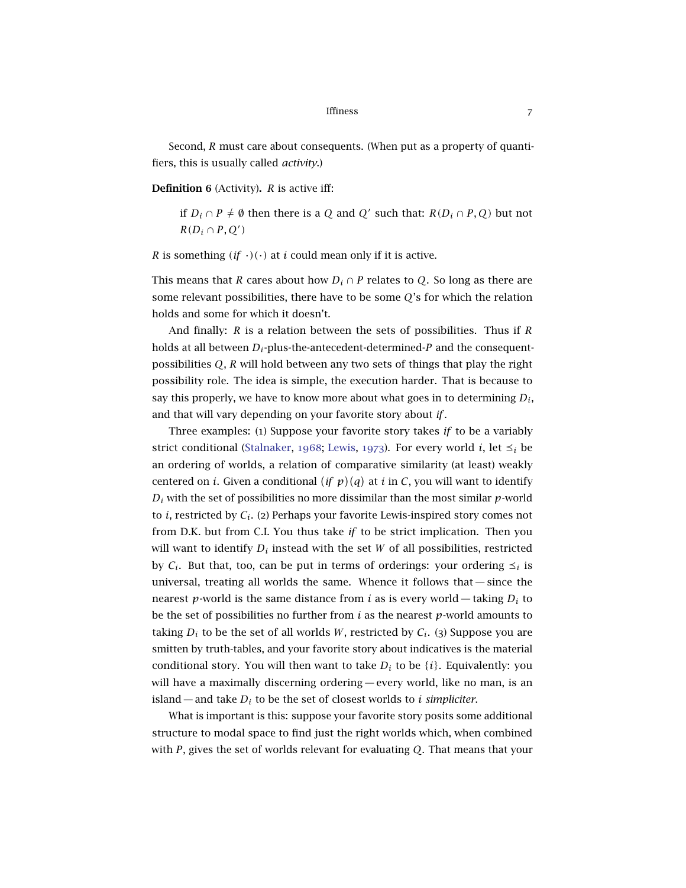Second, *R* must care about consequents. (When put as a property of quantifiers, this is usually called *activity*.)

<span id="page-6-0"></span>Definition 6 (Activity). *R* is active iff:

if *D*<sup>*i*</sup> ∩ *P*  $\neq$  Ø then there is a *Q* and *Q'* such that: *R*(*D*<sup>*i*</sup> ∩ *P*, *Q*) but not  $R(D_i \cap P, Q')$ 

*R* is something  $(f \cdot)(\cdot)$  at *i* could mean only if it is active.

This means that *R* cares about how  $D_i \cap P$  relates to *Q*. So long as there are some relevant possibilities, there have to be some *Q*'s for which the relation holds and some for which it doesn't.

And finally: *R* is a relation between the sets of possibilities. Thus if *R* holds at all between *Di*-plus-the-antecedent-determined-*P* and the consequentpossibilities *Q*, *R* will hold between any two sets of things that play the right possibility role. The idea is simple, the execution harder. That is because to say this properly, we have to know more about what goes in to determining  $D_i$ , and that will vary depending on your favorite story about *if*.

Three examples: (1) Suppose your favorite story takes *if* to be a variably strict conditional [\(Stalnaker,](#page-31-5) [1968](#page-31-5); [Lewis,](#page-31-6) [1973](#page-31-6)). For every world *i*, let  $\leq_i$  be an ordering of worlds, a relation of comparative similarity (at least) weakly centered on *i*. Given a conditional  $(if p)(q)$  at *i* in *C*, you will want to identify  $D_i$  with the set of possibilities no more dissimilar than the most similar  $p$ -world to *i*, restricted by *Ci*. (2) Perhaps your favorite Lewis-inspired story comes not from D.K. but from C.I. You thus take *if* to be strict implication. Then you will want to identify  $D_i$  instead with the set  $W$  of all possibilities, restricted by  $C_i$ . But that, too, can be put in terms of orderings: your ordering  $\leq_i$  is universal, treating all worlds the same. Whence it follows that— since the nearest *p*-world is the same distance from *i* as is every world — taking  $D_i$  to be the set of possibilities no further from *i* as the nearest *p*-world amounts to taking  $D_i$  to be the set of all worlds *W*, restricted by  $C_i$ . (3) Suppose you are smitten by truth-tables, and your favorite story about indicatives is the material conditional story. You will then want to take  $D_i$  to be  $\{i\}$ . Equivalently: you will have a maximally discerning ordering— every world, like no man, is an island — and take *D<sup>i</sup>* to be the set of closest worlds to *i simpliciter*.

What is important is this: suppose your favorite story posits some additional structure to modal space to find just the right worlds which, when combined with *P*, gives the set of worlds relevant for evaluating *Q*. That means that your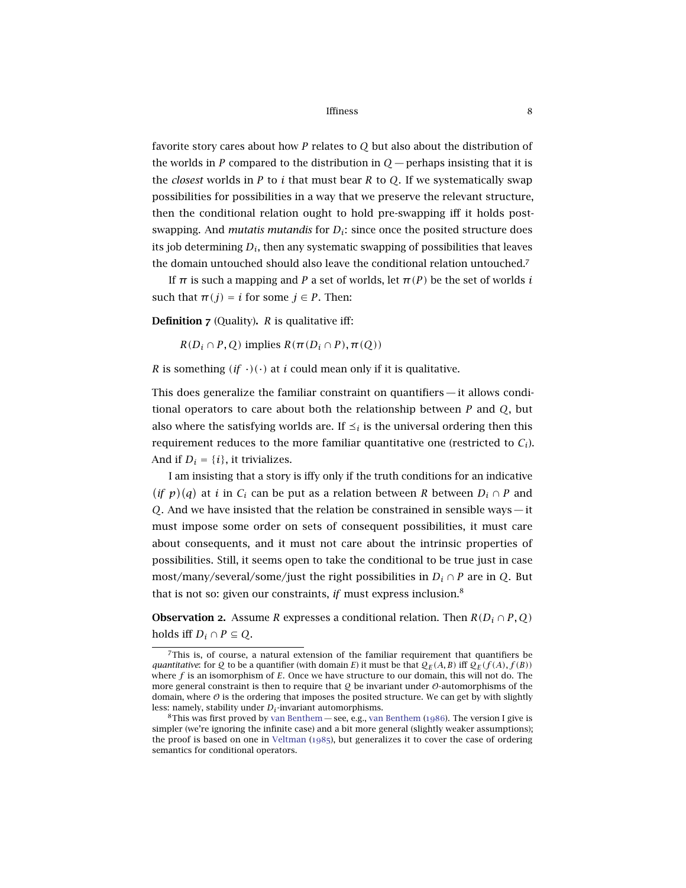favorite story cares about how *P* relates to *Q* but also about the distribution of the worlds in *P* compared to the distribution in  $O$  — perhaps insisting that it is the *closest* worlds in *P* to *i* that must bear *R* to *Q*. If we systematically swap possibilities for possibilities in a way that we preserve the relevant structure, then the conditional relation ought to hold pre-swapping iff it holds postswapping. And *mutatis mutandis* for *Di*: since once the posited structure does its job determining  $D_i$ , then any systematic swapping of possibilities that leaves the domain untouched should also leave the conditional relation untouched.<sup>7</sup>

If  $\pi$  is such a mapping and *P* a set of worlds, let  $\pi(P)$  be the set of worlds *i* such that  $\pi(j) = i$  for some  $j \in P$ . Then:

<span id="page-7-0"></span>Definition 7 (Quality). *R* is qualitative iff:

 $R(D_i \cap P, Q)$  implies  $R(\pi(D_i \cap P), \pi(Q))$ 

*R* is something  $(f \cdot)(\cdot)$  at *i* could mean only if it is qualitative.

This does generalize the familiar constraint on quantifiers— it allows conditional operators to care about both the relationship between *P* and *Q*, but also where the satisfying worlds are. If  $\leq_i$  is the universal ordering then this requirement reduces to the more familiar quantitative one (restricted to  $C_i$ ). And if  $D_i = \{i\}$ , it trivializes.

I am insisting that a story is iffy only if the truth conditions for an indicative  $(i f p)(q)$  at *i* in  $C_i$  can be put as a relation between *R* between  $D_i \cap P$  and *Q*. And we have insisted that the relation be constrained in sensible ways— it must impose some order on sets of consequent possibilities, it must care about consequents, and it must not care about the intrinsic properties of possibilities. Still, it seems open to take the conditional to be true just in case most/many/several/some/just the right possibilities in  $D_i \cap P$  are in *Q*. But that is not so: given our constraints, *if* must express inclusion.<sup>8</sup>

**Observation 2.** Assume *R* expresses a conditional relation. Then  $R(D_i \cap P, Q)$ holds iff  $D_i \cap P \subseteq Q$ .

<sup>7</sup>This is, of course, a natural extension of the familiar requirement that quantifiers be *quantitative:* for Q to be a quantifier (with domain *E*) it must be that  $Q_F(A, B)$  iff  $Q_F(f(A), f(B))$ where *f* is an isomorphism of *E*. Once we have structure to our domain, this will not do. The more general constraint is then to require that  $Q$  be invariant under  $O$ -automorphisms of the domain, where  $\vartheta$  is the ordering that imposes the posited structure. We can get by with slightly less: namely, stability under *D<sup>i</sup>* -invariant automorphisms.

<sup>&</sup>lt;sup>8</sup>This was first proved by [van Benthem](#page-30-4)— see, e.g., van Benthem ([1986](#page-30-4)). The version I give is simpler (we're ignoring the infinite case) and a bit more general (slightly weaker assumptions); the proof is based on one in [Veltman](#page-31-4) ([1985](#page-31-4)), but generalizes it to cover the case of ordering semantics for conditional operators.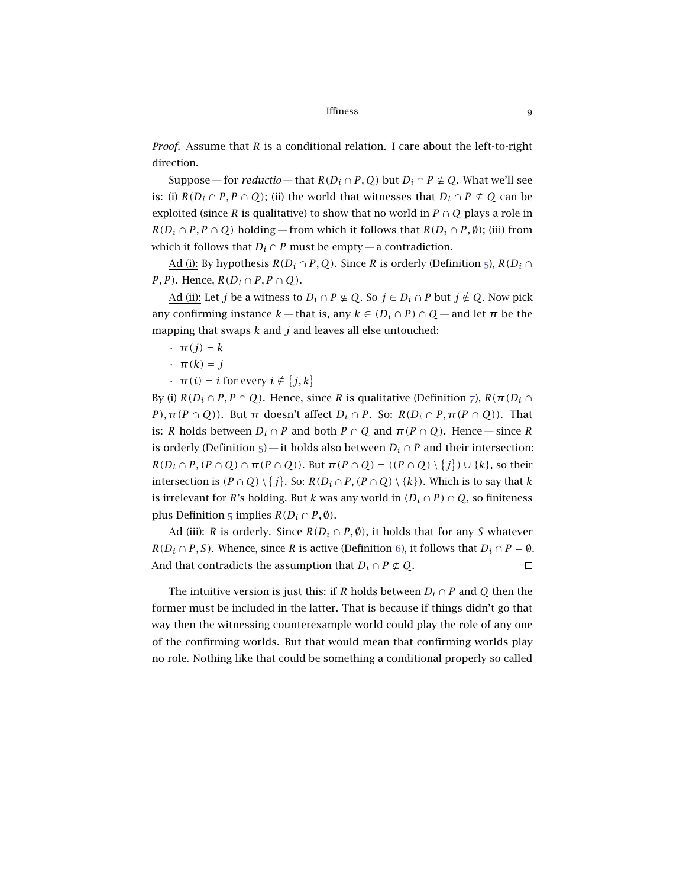*Proof.* Assume that *R* is a conditional relation. I care about the left-to-right direction.

Suppose — for *reductio* — that  $R(D_i \cap P, Q)$  but  $D_i \cap P \not\subseteq Q$ . What we'll see is: (i)  $R(D_i \cap P, P \cap Q)$ ; (ii) the world that witnesses that  $D_i \cap P \not\subseteq Q$  can be exploited (since *R* is qualitative) to show that no world in  $P \cap Q$  plays a role in  $R(D_i \cap P, P \cap Q)$  holding—from which it follows that  $R(D_i \cap P, \emptyset)$ ; (iii) from which it follows that  $D_i \cap P$  must be empty — a contradiction.

Ad (i): By hypothesis  $R(D_i \cap P, Q)$ . Since *R* is orderly (Definition [5](#page-5-0)),  $R(D_i \cap P, Q)$ . *P*, *P*). Hence,  $R(D_i \cap P, P \cap Q)$ .

Ad (ii): Let *j* be a witness to  $D_i \cap P \not\subseteq Q$ . So  $j \in D_i \cap P$  but  $j \not\in Q$ . Now pick any confirming instance  $k$ — that is, any  $k \in (D_i \cap P) \cap Q$ — and let  $\pi$  be the mapping that swaps *k* and *j* and leaves all else untouched:

- $\cdot$   $\pi(j) = k$
- $\cdot$   $\pi(k) = j$
- $\cdot$   $\pi(i) = i$  for every  $i \notin \{j, k\}$

By (i)  $R(D_i \cap P, P \cap Q)$ . Hence, since *R* is qualitative (Definition [7](#page-7-0)),  $R(\pi(D_i \cap P))$ *P*),  $\pi$ (*P* ∩ *Q*)). But  $\pi$  doesn't affect  $D_i \cap P$ . So:  $R(D_i \cap P, \pi(P \cap Q))$ . That is: *R* holds between  $D_i \cap P$  and both  $P \cap Q$  and  $\pi(P \cap Q)$ . Hence — since *R* is orderly (Definition [5](#page-5-0))—it holds also between  $D_i \cap P$  and their intersection:  $R(D_i \cap P, (P \cap Q) \cap \pi(P \cap Q))$ . But  $\pi(P \cap Q) = ((P \cap Q) \setminus \{j\}) \cup \{k\}$ , so their intersection is  $(P \cap Q) \setminus \{j\}$ . So:  $R(D_i \cap P, (P \cap Q) \setminus \{k\})$ . Which is to say that  $k$ is irrelevant for *R*'s holding. But *k* was any world in  $(D_i \cap P) \cap Q$ , so finiteness plus Definition [5](#page-5-0) implies  $R(D_i \cap P, \emptyset)$ .

Ad (iii): *R* is orderly. Since  $R(D_i \cap P, \emptyset)$ , it holds that for any *S* whatever  $R(D_i \cap P, S)$ . Whence, since *R* is active (Definition [6](#page-6-0)), it follows that  $D_i \cap P = \emptyset$ . And that contradicts the assumption that  $D_i \cap P \not\subseteq Q$ .  $\Box$ 

The intuitive version is just this: if *R* holds between  $D_i \cap P$  and  $Q$  then the former must be included in the latter. That is because if things didn't go that way then the witnessing counterexample world could play the role of any one of the confirming worlds. But that would mean that confirming worlds play no role. Nothing like that could be something a conditional properly so called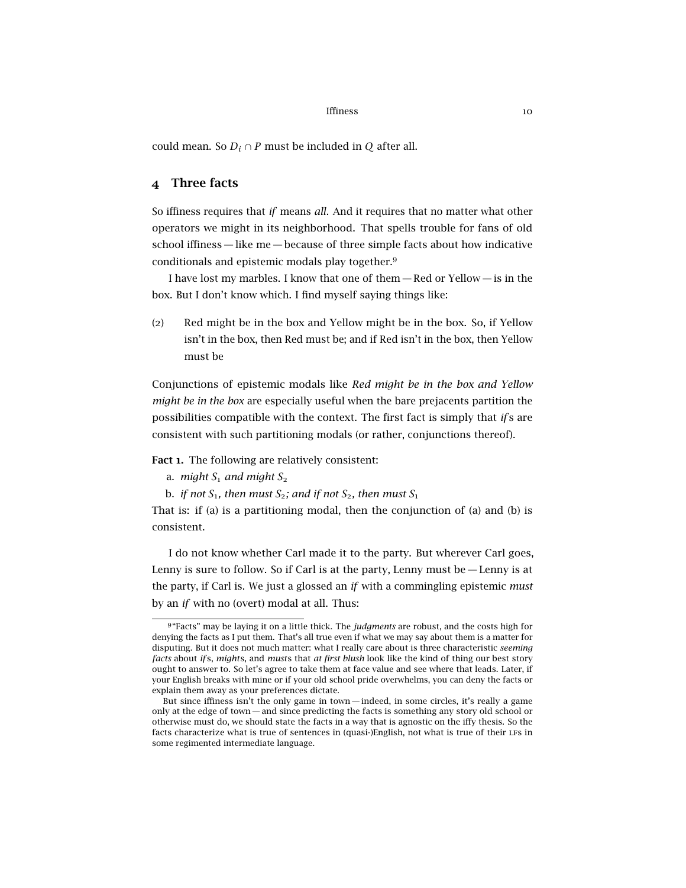could mean. So  $D_i \cap P$  must be included in *Q* after all.

## 4 Three facts

So iffiness requires that *if* means *all*. And it requires that no matter what other operators we might in its neighborhood. That spells trouble for fans of old school iffiness— like me— because of three simple facts about how indicative conditionals and epistemic modals play together.<sup>9</sup>

<span id="page-9-1"></span>I have lost my marbles. I know that one of them — Red or Yellow — is in the box. But I don't know which. I find myself saying things like:

(2) Red might be in the box and Yellow might be in the box. So, if Yellow isn't in the box, then Red must be; and if Red isn't in the box, then Yellow must be

Conjunctions of epistemic modals like *Red might be in the box and Yellow might be in the box* are especially useful when the bare prejacents partition the possibilities compatible with the context. The first fact is simply that *if* s are consistent with such partitioning modals (or rather, conjunctions thereof).

<span id="page-9-0"></span>Fact 1. The following are relatively consistent:

- a. *might*  $S_1$  *and might*  $S_2$
- b. *if not*  $S_1$ *, then must*  $S_2$ *; and if not*  $S_2$ *, then must*  $S_1$

That is: if (a) is a partitioning modal, then the conjunction of (a) and (b) is consistent.

I do not know whether Carl made it to the party. But wherever Carl goes, Lenny is sure to follow. So if Carl is at the party, Lenny must be  $-$  Lenny is at the party, if Carl is. We just a glossed an *if* with a commingling epistemic *must* by an *if* with no (overt) modal at all. Thus:

<span id="page-9-2"></span><sup>9</sup> "Facts" may be laying it on a little thick. The *judgments* are robust, and the costs high for denying the facts as I put them. That's all true even if what we may say about them is a matter for disputing. But it does not much matter: what I really care about is three characteristic *seeming facts* about *if* s, *might*s, and *must*s that *at first blush* look like the kind of thing our best story ought to answer to. So let's agree to take them at face value and see where that leads. Later, if your English breaks with mine or if your old school pride overwhelms, you can deny the facts or explain them away as your preferences dictate.

But since iffiness isn't the only game in town— indeed, in some circles, it's really a game only at the edge of town— and since predicting the facts is something any story old school or otherwise must do, we should state the facts in a way that is agnostic on the iffy thesis. So the facts characterize what is true of sentences in (quasi-)English, not what is true of their LFS in some regimented intermediate language.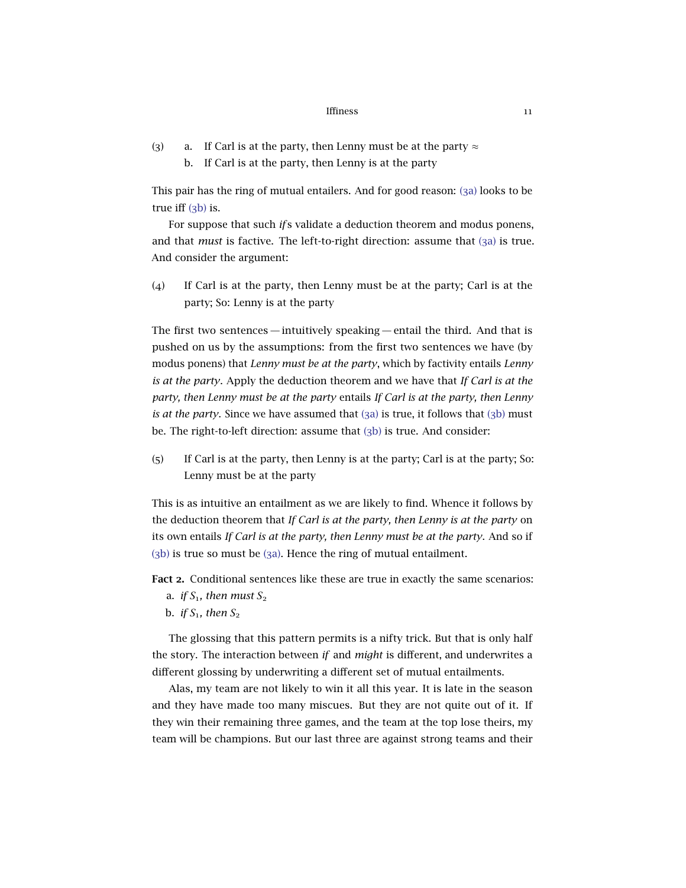<span id="page-10-1"></span><span id="page-10-0"></span>(3) a. If Carl is at the party, then Lenny must be at the party  $\approx$ b. If Carl is at the party, then Lenny is at the party

This pair has the ring of mutual entailers. And for good reason: (3[a\)](#page-10-0) looks to be true iff (3[b\)](#page-10-1) is.

For suppose that such *if* s validate a deduction theorem and modus ponens, and that *must* is factive. The left-to-right direction: assume that (3[a\)](#page-10-0) is true. And consider the argument:

(4) If Carl is at the party, then Lenny must be at the party; Carl is at the party; So: Lenny is at the party

The first two sentences— intuitively speaking— entail the third. And that is pushed on us by the assumptions: from the first two sentences we have (by modus ponens) that *Lenny must be at the party*, which by factivity entails *Lenny is at the party*. Apply the deduction theorem and we have that *If Carl is at the party, then Lenny must be at the party* entails *If Carl is at the party, then Lenny is at the party*. Since we have assumed that (3[a\)](#page-10-0) is true, it follows that (3[b\)](#page-10-1) must be. The right-to-left direction: assume that (3[b\)](#page-10-1) is true. And consider:

(5) If Carl is at the party, then Lenny is at the party; Carl is at the party; So: Lenny must be at the party

This is as intuitive an entailment as we are likely to find. Whence it follows by the deduction theorem that *If Carl is at the party, then Lenny is at the party* on its own entails *If Carl is at the party, then Lenny must be at the party*. And so if (3[b\)](#page-10-1) is true so must be (3[a\).](#page-10-0) Hence the ring of mutual entailment.

<span id="page-10-2"></span>Fact 2. Conditional sentences like these are true in exactly the same scenarios:

- a. *if*  $S_1$ , then must  $S_2$
- b. *if*  $S_1$ *, then*  $S_2$

The glossing that this pattern permits is a nifty trick. But that is only half the story. The interaction between *if* and *might* is different, and underwrites a different glossing by underwriting a different set of mutual entailments.

Alas, my team are not likely to win it all this year. It is late in the season and they have made too many miscues. But they are not quite out of it. If they win their remaining three games, and the team at the top lose theirs, my team will be champions. But our last three are against strong teams and their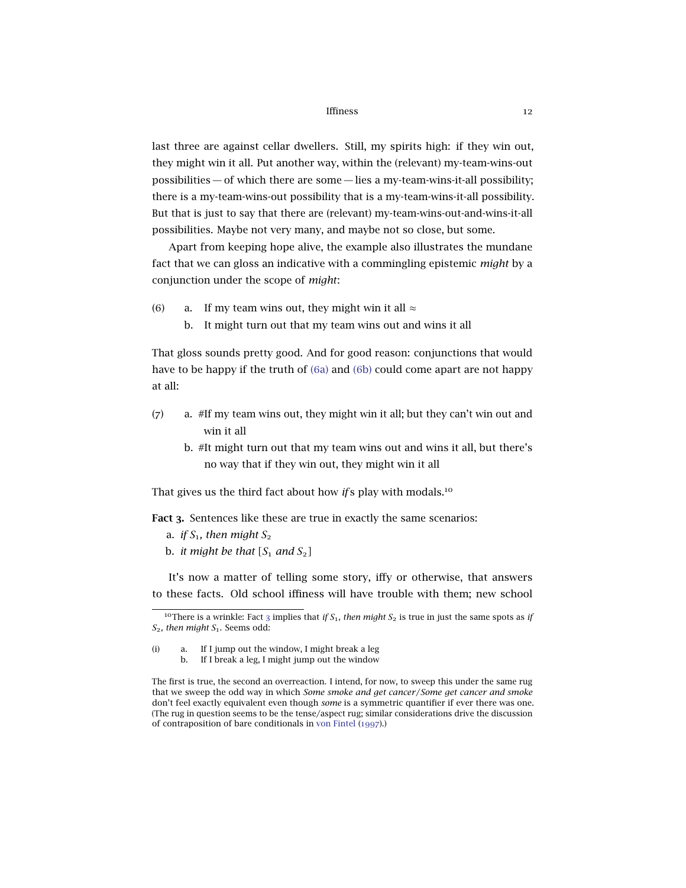last three are against cellar dwellers. Still, my spirits high: if they win out, they might win it all. Put another way, within the (relevant) my-team-wins-out possibilities — of which there are some— lies a my-team-wins-it-all possibility; there is a my-team-wins-out possibility that is a my-team-wins-it-all possibility. But that is just to say that there are (relevant) my-team-wins-out-and-wins-it-all possibilities. Maybe not very many, and maybe not so close, but some.

<span id="page-11-3"></span>Apart from keeping hope alive, the example also illustrates the mundane fact that we can gloss an indicative with a commingling epistemic *might* by a conjunction under the scope of *might*:

- <span id="page-11-1"></span><span id="page-11-0"></span>(6) a. If my team wins out, they might win it all  $\approx$ 
	- b. It might turn out that my team wins out and wins it all

That gloss sounds pretty good. And for good reason: conjunctions that would have to be happy if the truth of (6[a\)](#page-11-0) and (6[b\)](#page-11-1) could come apart are not happy at all:

- (7) a. #If my team wins out, they might win it all; but they can't win out and win it all
	- b. #It might turn out that my team wins out and wins it all, but there's no way that if they win out, they might win it all

<span id="page-11-2"></span>That gives us the third fact about how *if* s play with modals.<sup>10</sup>

Fact 3. Sentences like these are true in exactly the same scenarios:

- a. *if*  $S_1$ , then might  $S_2$
- b. *it might be that*  $[S_1 \text{ and } S_2]$

It's now a matter of telling some story, iffy or otherwise, that answers to these facts. Old school iffiness will have trouble with them; new school

<sup>&</sup>lt;sup>10</sup>There is a wrinkle: Fact [3](#page-11-2) implies that *if*  $S_1$ , then might  $S_2$  is true in just the same spots as *if S*2*, then might S*1. Seems odd:

<sup>(</sup>i) a. If I jump out the window, I might break a leg b. If I break a leg, I might jump out the window

The first is true, the second an overreaction. I intend, for now, to sweep this under the same rug that we sweep the odd way in which *Some smoke and get cancer*/*Some get cancer and smoke* don't feel exactly equivalent even though *some* is a symmetric quantifier if ever there was one. (The rug in question seems to be the tense/aspect rug; similar considerations drive the discussion of contraposition of bare conditionals in [von Fintel](#page-30-5) ([1997](#page-30-5)).)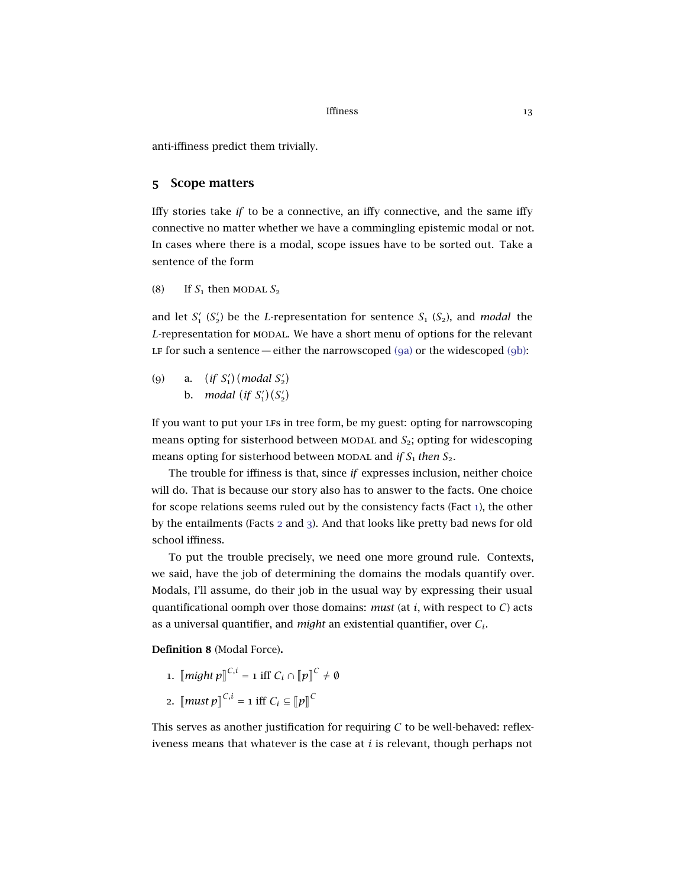anti-iffiness predict them trivially.

### 5 Scope matters

Iffy stories take *if* to be a connective, an iffy connective, and the same iffy connective no matter whether we have a commingling epistemic modal or not. In cases where there is a modal, scope issues have to be sorted out. Take a sentence of the form

<span id="page-12-3"></span>(8) If  $S_1$  then MODAL  $S_2$ 

and let  $S'_1$  ( $S'_2$ ) be the *L*-representation for sentence  $S_1$  ( $S_2$ ), and *modal* the L-representation for MODAL. We have a short menu of options for the relevant LF for such a sentence — either the narrowscoped  $(ga)$  $(ga)$  or the widescoped  $(gb)$ :

<span id="page-12-1"></span><span id="page-12-0"></span>(9) a. (*if*  $S'_{1}$ ) (*modal*  $S'_{2}$ ) b. *modal* (*if*  $S'_1$ )( $S'_2$ )

If you want to put your lfs in tree form, be my guest: opting for narrowscoping means opting for sisterhood between MODAL and  $S<sub>2</sub>$ ; opting for widescoping means opting for sisterhood between MODAL and *if*  $S_1$  *then*  $S_2$ *.* 

The trouble for iffiness is that, since *if* expresses inclusion, neither choice will do. That is because our story also has to answer to the facts. One choice for scope relations seems ruled out by the consistency facts (Fact [1](#page-9-0)), the other by the entailments (Facts [2](#page-10-2) and [3](#page-11-2)). And that looks like pretty bad news for old school iffiness.

To put the trouble precisely, we need one more ground rule. Contexts, we said, have the job of determining the domains the modals quantify over. Modals, I'll assume, do their job in the usual way by expressing their usual quantificational oomph over those domains: *must* (at *i*, with respect to *C*) acts as a universal quantifier, and *might* an existential quantifier, over *Ci*.

<span id="page-12-2"></span>Definition 8 (Modal Force).

1.  $\llbracket \textit{might} \ p \rrbracket^{C,i} = 1 \text{ iff } C_i \cap \llbracket p \rrbracket^C \neq \emptyset$ 2.  $\llbracket \textit{must } p \rrbracket^{C,i} = 1 \text{ iff } C_i \subseteq \llbracket p \rrbracket^C$ 

This serves as another justification for requiring *C* to be well-behaved: reflexiveness means that whatever is the case at *i* is relevant, though perhaps not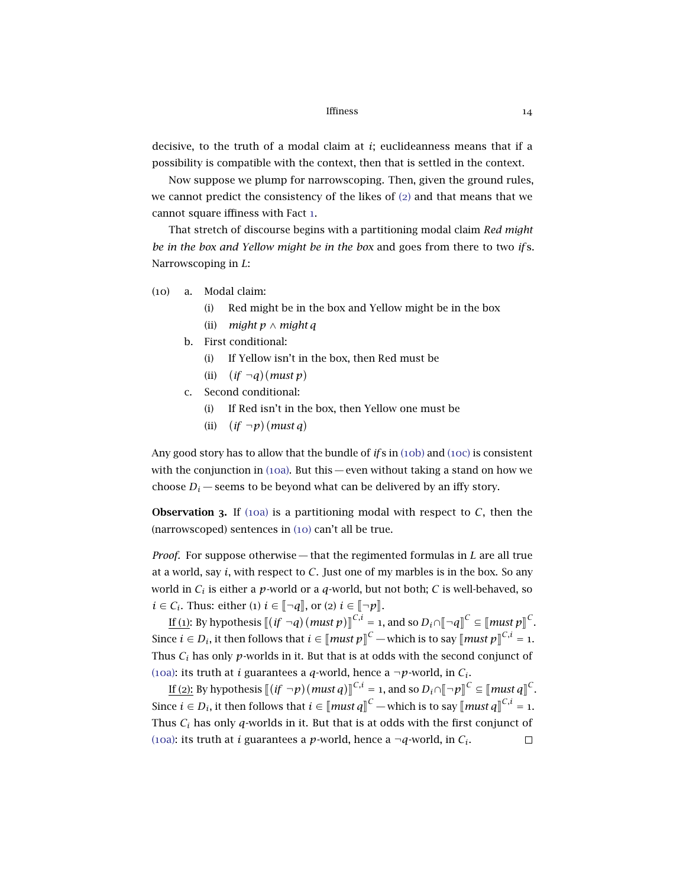decisive, to the truth of a modal claim at *i*; euclideanness means that if a possibility is compatible with the context, then that is settled in the context.

Now suppose we plump for narrowscoping. Then, given the ground rules, we cannot predict the consistency of the likes of ([2](#page-9-1)) and that means that we cannot square iffiness with Fact [1](#page-9-0).

<span id="page-13-3"></span>That stretch of discourse begins with a partitioning modal claim *Red might be in the box and Yellow might be in the box* and goes from there to two *if* s. Narrowscoping in *L*:

- <span id="page-13-2"></span><span id="page-13-0"></span>(10) a. Modal claim:
	- (i) Red might be in the box and Yellow might be in the box
	- (ii) *might p* ∧ *might q*
	- b. First conditional:
		- (i) If Yellow isn't in the box, then Red must be
		- (ii)  $(if \neg q)(must p)$
	- c. Second conditional:
		- (i) If Red isn't in the box, then Yellow one must be
		- (ii) *if*  $\neg p$ )(*must q*)

<span id="page-13-1"></span>Any good story has to allow that the bundle of *if* s in ([10](#page-13-0)b) and ([10](#page-13-1)c) is consistent with the conjunction in  $(10a)$  $(10a)$  $(10a)$ . But this — even without taking a stand on how we choose  $D_i$  — seems to be beyond what can be delivered by an iffy story.

**Observation 3.** If ([10](#page-13-2)a) is a partitioning modal with respect to  $C$ , then the (narrowscoped) sentences in ([10](#page-13-3)) can't all be true.

*Proof.* For suppose otherwise— that the regimented formulas in *L* are all true at a world, say *i*, with respect to *C*. Just one of my marbles is in the box. So any world in *C<sup>i</sup>* is either a *p*-world or a *q*-world, but not both; *C* is well-behaved, so  $i \in \mathcal{C}_i$ . Thus: either (1)  $i \in \lbrack \lbrack \lbrack \lbrack \lbrack q \rbrack \rbrack$ , or (2)  $i \in \lbrack \lbrack \lbrack \lbrack \lbrack \lbrack p \rbrack \rbrack$ .

If (1): By hypothesis  $[(if \neg q)(must p)]^{C,i} = 1$ , and so  $D_i \cap [\neg q]^C \subseteq [\text{must } p]^C$ . l<br>I Since  $i \in D_i$ , it then follows that  $i \in [\text{must } p]^{C}$  — which is to say  $[\text{must } p]^{C,i} = 1$ . Thus *C<sup>i</sup>* has only *p*-worlds in it. But that is at odds with the second conjunct of ([10](#page-13-2)a): its truth at *i* guarantees a *q*-world, hence a  $\neg p$ -world, in  $C_i$ .

If (2): By hypothesis  $[(if \neg p)(\text{must } q)]^{C,i} = 1$ , and so  $D_i \cap [\neg p]^{C} \subseteq [\text{must } q]^{C}$ . l<br>I Since  $i \in D_i$ , it then follows that  $i \in [\text{must } q]^{C}$  — which is to say  $[\text{must } q]^{C,i} = 1$ . Thus *C<sup>i</sup>* has only *q*-worlds in it. But that is at odds with the first conjunct of ([10](#page-13-2)a): its truth at *i* guarantees a *p*-world, hence a  $\neg q$ -world, in  $C_i$ .  $\Box$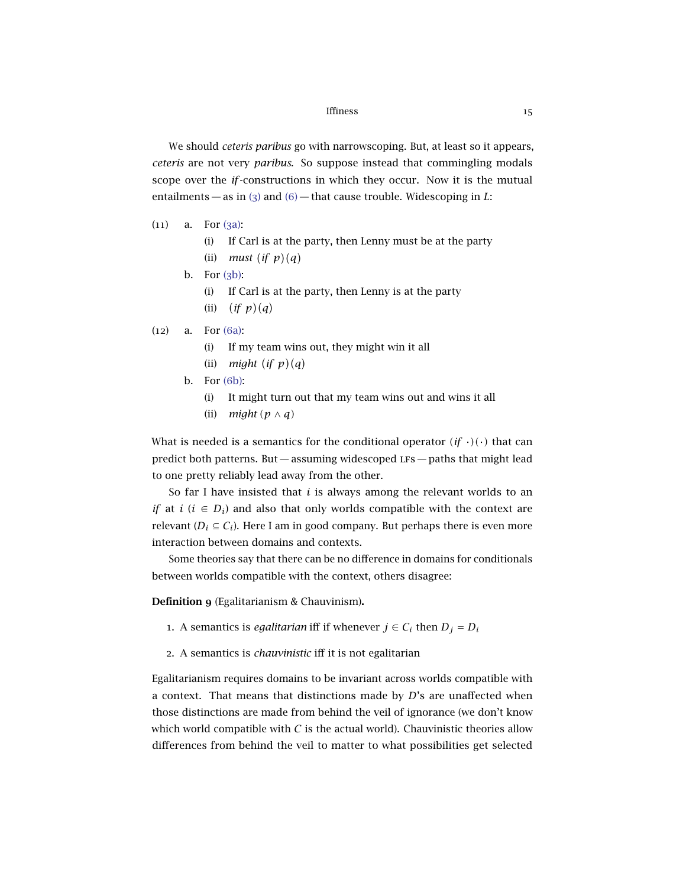We should *ceteris paribus* go with narrowscoping. But, at least so it appears, *ceteris* are not very *paribus*. So suppose instead that commingling modals scope over the *if*-constructions in which they occur. Now it is the mutual entailments — as in ([3](#page-9-2)) and ([6](#page-11-3)) — that cause trouble. Widescoping in *L*:

- <span id="page-14-0"></span> $(11)$  a. For  $(3a)$ :
	- (i) If Carl is at the party, then Lenny must be at the party (ii) *must* (*if*  $p$ )(*q*)
	- b. For  $(3b)$ :
		- (i) If Carl is at the party, then Lenny is at the party
		- (ii)  $(if p)(q)$
- <span id="page-14-3"></span><span id="page-14-2"></span><span id="page-14-1"></span>(12) a. For (6[a\):](#page-11-0)
	- (i) If my team wins out, they might win it all
	- (ii) *might* (*if*  $p$ )(*q*)
	- b. For (6[b\):](#page-11-1)
		- (i) It might turn out that my team wins out and wins it all
		- (ii) *might*  $(p \wedge q)$

What is needed is a semantics for the conditional operator  $(i f \cdot)(\cdot)$  that can predict both patterns. But  $-$  assuming widescoped LFs  $-$  paths that might lead to one pretty reliably lead away from the other.

So far I have insisted that *i* is always among the relevant worlds to an *if* at *i* ( $i \in D_i$ ) and also that only worlds compatible with the context are relevant ( $D_i \subseteq C_i$ ). Here I am in good company. But perhaps there is even more interaction between domains and contexts.

Some theories say that there can be no difference in domains for conditionals between worlds compatible with the context, others disagree:

Definition 9 (Egalitarianism & Chauvinism).

- 1. A semantics is *egalitarian* iff if whenever  $j \in C_i$  then  $D_j = D_i$
- 2. A semantics is *chauvinistic* iff it is not egalitarian

Egalitarianism requires domains to be invariant across worlds compatible with a context. That means that distinctions made by *D*'s are unaffected when those distinctions are made from behind the veil of ignorance (we don't know which world compatible with  $C$  is the actual world). Chauvinistic theories allow differences from behind the veil to matter to what possibilities get selected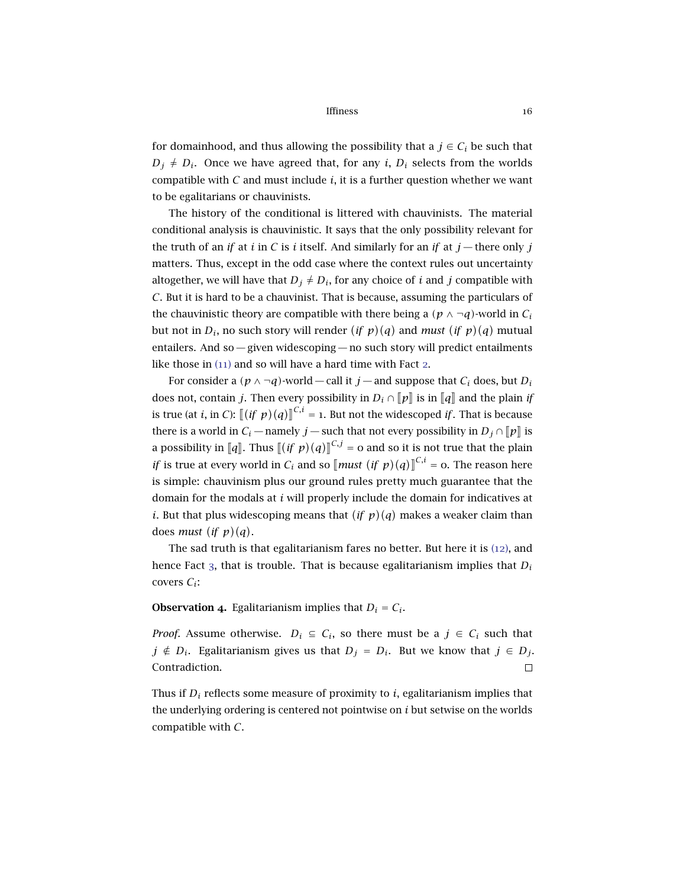for domainhood, and thus allowing the possibility that a  $j \in C_i$  be such that  $D_j \neq D_i$ . Once we have agreed that, for any *i*,  $D_i$  selects from the worlds compatible with  $C$  and must include  $i$ , it is a further question whether we want to be egalitarians or chauvinists.

The history of the conditional is littered with chauvinists. The material conditional analysis is chauvinistic. It says that the only possibility relevant for the truth of an *if* at *i* in *C* is *i* itself. And similarly for an *if* at  $j$  — there only *j* matters. Thus, except in the odd case where the context rules out uncertainty altogether, we will have that  $D_j \neq D_i$ , for any choice of *i* and *j* compatible with *C*. But it is hard to be a chauvinist. That is because, assuming the particulars of the chauvinistic theory are compatible with there being a  $(p \land \neg q)$ -world in  $C_i$ but not in  $D_i$ , no such story will render  $(if\,\,p)(q)$  and *must*  $(if\,\,p)(q)$  mutual entailers. And so — given widescoping — no such story will predict entailments like those in ([11](#page-14-0)) and so will have a hard time with Fact [2](#page-10-2).

For consider a  $(p \land \neg q)$ -world — call it *j* — and suppose that  $C_i$  does, but  $D_i$ does not, contain *j*. Then every possibility in  $D_i \cap [p]$  is in  $[q]$  and the plain *if* is true (at *i*, in *C*):  $[(if \ p)(q)]^{C,i} = 1$ . But not the widescoped *if*. That is because لا<br>. there is a world in  $C_i$  — namely *j* — such that not every possibility in  $D_j \cap [\![p]\!]$  is a possibility in [*q*]. Thus  $[(if \; p)(q)]^{C,j} = 0$  and so it is not true that the plain l<br>I *if* is true at every world in  $C_i$  and so  $\left[\text{must } (if \ p)(q)\right]^{C,i} = o$ . The reason here is simple: chauvinism plus our ground rules pretty much guarantee that the domain for the modals at *i* will properly include the domain for indicatives at *i*. But that plus widescoping means that  $(if p)(q)$  makes a weaker claim than does *must* (*if*  $p$ )(*q*).

The sad truth is that egalitarianism fares no better. But here it is ([12](#page-14-1)), and hence Fact [3](#page-11-2), that is trouble. That is because egalitarianism implies that *D<sup>i</sup>* covers *Ci*:

### **Observation 4.** Egalitarianism implies that  $D_i = C_i$ .

*Proof.* Assume otherwise.  $D_i \subseteq C_i$ , so there must be a  $j \in C_i$  such that *j* ∉ *D*<sup>*i*</sup>. Egalitarianism gives us that *D*<sup>*j*</sup> = *D*<sup>*i*</sup>. But we know that *j* ∈ *D*<sup>*j*</sup>. Contradiction.  $\Box$ 

Thus if *D<sup>i</sup>* reflects some measure of proximity to *i*, egalitarianism implies that the underlying ordering is centered not pointwise on *i* but setwise on the worlds compatible with *C*.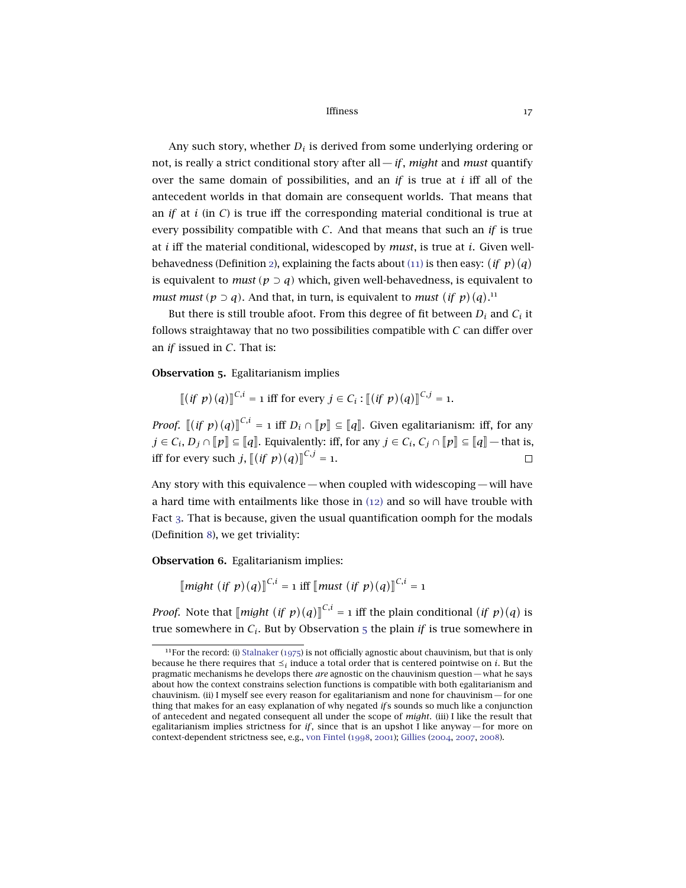Any such story, whether  $D_i$  is derived from some underlying ordering or not, is really a strict conditional story after all—*if*, *might* and *must* quantify over the same domain of possibilities, and an *if* is true at *i* iff all of the antecedent worlds in that domain are consequent worlds. That means that an *if* at  $i$  (in  $C$ ) is true iff the corresponding material conditional is true at every possibility compatible with *C*. And that means that such an *if* is true at *i* iff the material conditional, widescoped by *must*, is true at *i*. Given well-behavedness (Definition [2](#page-3-0)), explaining the facts about  $(11)$  $(11)$  $(11)$  is then easy:  $(if p)(q)$ is equivalent to *must*  $(p \supset q)$  which, given well-behavedness, is equivalent to *must must* ( $p \supset q$ ). And that, in turn, is equivalent to *must* (*if*  $p$ )(*q*).<sup>11</sup>

But there is still trouble afoot. From this degree of fit between  $D_i$  and  $C_i$  it follows straightaway that no two possibilities compatible with *C* can differ over an *if* issued in *C*. That is:

<span id="page-16-0"></span>Observation 5. Egalitarianism implies

$$
\llbracket (\textit{if } p)(q) \rrbracket^{C,i} = 1 \text{ iff for every } j \in C_i : \llbracket (\textit{if } p)(q) \rrbracket^{C,j} = 1.
$$

*Proof.*  $[(if \ p)(q)]^{\binom{n}{i}} = 1$  iff  $D_i \cap [p] \subseteq [q]$ . Given egalitarianism: iff, for any l<br>I *j* ∈ *C*<sup>*i*</sup>, *D*<sub>*j*</sub> ∩  $||p|| \n\t\subseteq ||q||$ . Equivalently: iff, for any *j* ∈ *C*<sup>*i*</sup>, *C*<sub>*j*</sub> ∩  $||p|| \n\t\subseteq ||q||$  — that is, iff for every such *j*,  $\left[ \left( \text{if } p \right) (q) \right]^{C,j} = 1.$ 

Any story with this equivalence— when coupled with widescoping— will have a hard time with entailments like those in ([12](#page-14-1)) and so will have trouble with Fact [3](#page-11-2). That is because, given the usual quantification oomph for the modals (Definition [8](#page-12-2)), we get triviality:

Observation 6. Egalitarianism implies:

 $\left[\text{might } (if \ p)(q)\right]^{\text{C},i} = 1 \text{ iff } \left[\text{must } (if \ p)(q)\right]^{\text{C},i} = 1$ 

*Proof.* Note that  $\left[\text{might } (if \ p)(q)\right]^{C,i} = 1$  iff the plain conditional  $(if \ p)(q)$  is true, there are  $\lim_{t \to \infty} \frac{f(t) - f(t)}{t}$  is true somewhere in *C*<sub>*i*</sub>. But by Observation [5](#page-16-0) the plain *if* is true somewhere in

<sup>&</sup>lt;sup>11</sup>For the record: (i) [Stalnaker](#page-31-2) ([1975](#page-31-2)) is not officially agnostic about chauvinism, but that is only because he there requires that  $\preceq_i$  induce a total order that is centered pointwise on  $i.$  But the pragmatic mechanisms he develops there *are* agnostic on the chauvinism question — what he says about how the context constrains selection functions is compatible with both egalitarianism and chauvinism. (ii) I myself see every reason for egalitarianism and none for chauvinism— for one thing that makes for an easy explanation of why negated *if* s sounds so much like a conjunction of antecedent and negated consequent all under the scope of *might*. (iii) I like the result that egalitarianism implies strictness for  $if$ , since that is an upshot I like anyway— for more on context-dependent strictness see, e.g., [von Fintel](#page-30-3) ([1998](#page-30-3), [2001](#page-30-6)); [Gillies](#page-31-3) ([2004](#page-31-3), [2007](#page-31-7), [2008](#page-31-8)).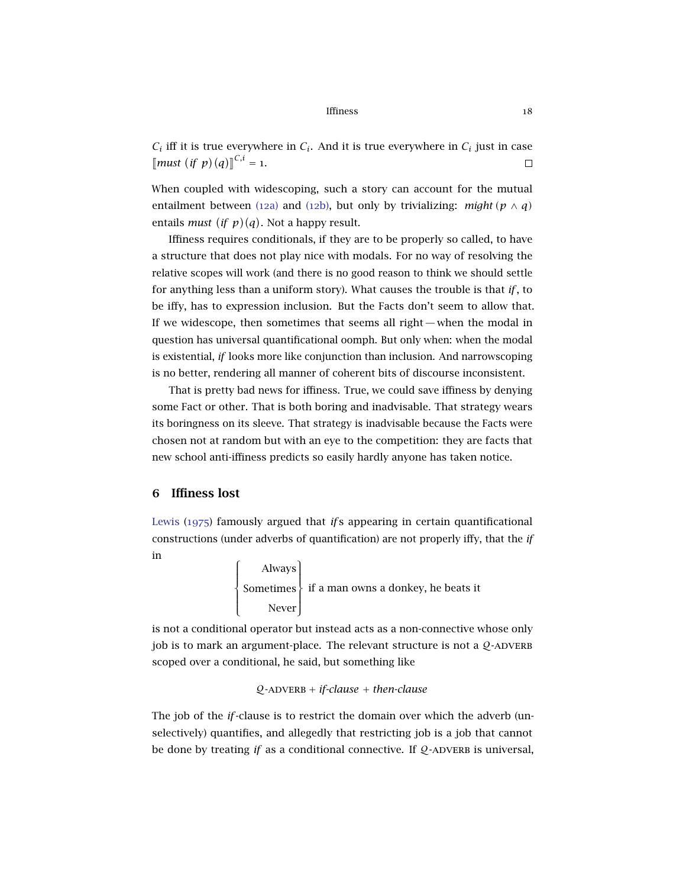#### Iffiness and the set of the set of the set of the set of the set of the set of the set of the set of the set of the set of the set of the set of the set of the set of the set of the set of the set of the set of the set of

 $C_i$  iff it is true everywhere in  $C_i$ . And it is true everywhere in  $C_i$  just in case  $\llbracket \textit{must} \ (\textit{if } p)(q) \rrbracket^{C,i} = 1.$  $\Box$ 

When coupled with widescoping, such a story can account for the mutual entailment between ([12](#page-14-2)a) and (12[b\),](#page-14-3) but only by trivializing: *might*  $(p \land q)$ entails *must* (*if*  $p$ )(*q*). Not a happy result.

Iffiness requires conditionals, if they are to be properly so called, to have a structure that does not play nice with modals. For no way of resolving the relative scopes will work (and there is no good reason to think we should settle for anything less than a uniform story). What causes the trouble is that *if*, to be iffy, has to expression inclusion. But the Facts don't seem to allow that. If we widescope, then sometimes that seems all right— when the modal in question has universal quantificational oomph. But only when: when the modal is existential, *if* looks more like conjunction than inclusion. And narrowscoping is no better, rendering all manner of coherent bits of discourse inconsistent.

That is pretty bad news for iffiness. True, we could save iffiness by denying some Fact or other. That is both boring and inadvisable. That strategy wears its boringness on its sleeve. That strategy is inadvisable because the Facts were chosen not at random but with an eye to the competition: they are facts that new school anti-iffiness predicts so easily hardly anyone has taken notice.

### 6 Iffiness lost

[Lewis](#page-31-9) ([1975](#page-31-9)) famously argued that *if* s appearing in certain quantificational constructions (under adverbs of quantification) are not properly iffy, that the *if* in

> $\int$  $\overline{\mathcal{L}}$ Always Sometimes Never  $\begin{matrix} \end{matrix}$  $\int$ if a man owns a donkey, he beats it

is not a conditional operator but instead acts as a non-connective whose only job is to mark an argument-place. The relevant structure is not a  $Q$ -ADVERB scoped over a conditional, he said, but something like

Q-adverb + *if-clause* + *then-clause*

The job of the *if*-clause is to restrict the domain over which the adverb (unselectively) quantifies, and allegedly that restricting job is a job that cannot be done by treating *if* as a conditional connective. If  $Q$ -ADVERB is universal,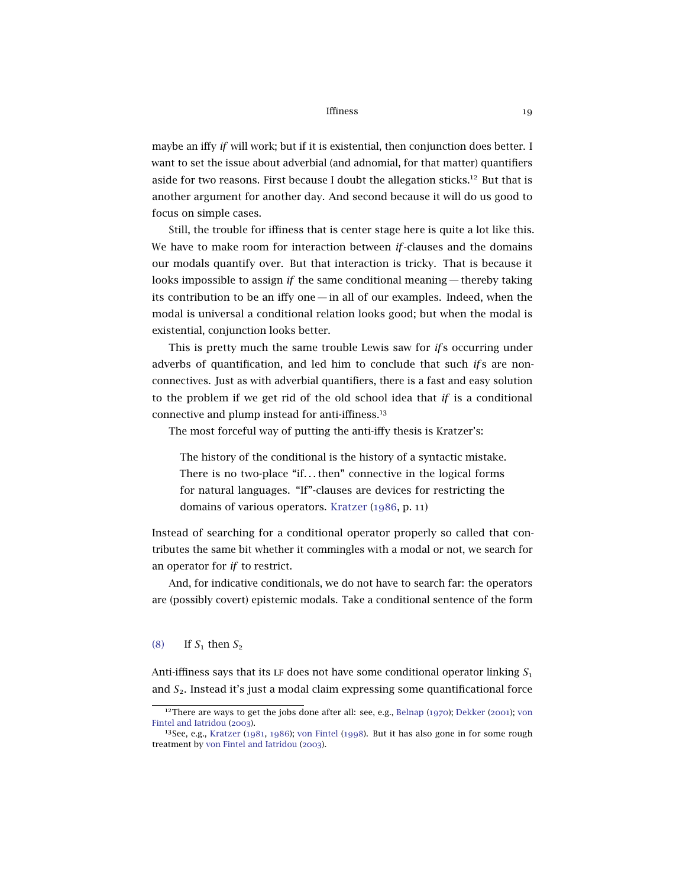maybe an iffy *if* will work; but if it is existential, then conjunction does better. I want to set the issue about adverbial (and adnomial, for that matter) quantifiers aside for two reasons. First because I doubt the allegation sticks.<sup>12</sup> But that is another argument for another day. And second because it will do us good to focus on simple cases.

Still, the trouble for iffiness that is center stage here is quite a lot like this. We have to make room for interaction between *if*-clauses and the domains our modals quantify over. But that interaction is tricky. That is because it looks impossible to assign *if* the same conditional meaning— thereby taking its contribution to be an iffy one— in all of our examples. Indeed, when the modal is universal a conditional relation looks good; but when the modal is existential, conjunction looks better.

This is pretty much the same trouble Lewis saw for *if* s occurring under adverbs of quantification, and led him to conclude that such *if* s are nonconnectives. Just as with adverbial quantifiers, there is a fast and easy solution to the problem if we get rid of the old school idea that *if* is a conditional connective and plump instead for anti-iffiness.<sup>13</sup>

The most forceful way of putting the anti-iffy thesis is Kratzer's:

The history of the conditional is the history of a syntactic mistake. There is no two-place "if. . . then" connective in the logical forms for natural languages. "If"-clauses are devices for restricting the domains of various operators. [Kratzer](#page-31-1) ([1986](#page-31-1), p. 11)

Instead of searching for a conditional operator properly so called that contributes the same bit whether it commingles with a modal or not, we search for an operator for *if* to restrict.

And, for indicative conditionals, we do not have to search far: the operators are (possibly covert) epistemic modals. Take a conditional sentence of the form

### ([8](#page-12-3)) If  $S_1$  then  $S_2$

Anti-iffiness says that its LF does not have some conditional operator linking  $S_1$ and *S*2. Instead it's just a modal claim expressing some quantificational force

<sup>&</sup>lt;sup>12</sup>There are ways to get the jobs done after all: see, e.g., [Belnap](#page-30-7) ([1970](#page-30-7)); [Dekker](#page-30-8) ([2001](#page-30-8)); [von](#page-30-9) [Fintel and Iatridou](#page-30-9) ([2003](#page-30-9)).

<sup>&</sup>lt;sup>13</sup>See, e.g., [Kratzer](#page-31-0) ([1981](#page-31-0), [1986](#page-31-1)); [von Fintel](#page-30-3) ([1998](#page-30-3)). But it has also gone in for some rough treatment by [von Fintel and Iatridou](#page-30-9) ([2003](#page-30-9)).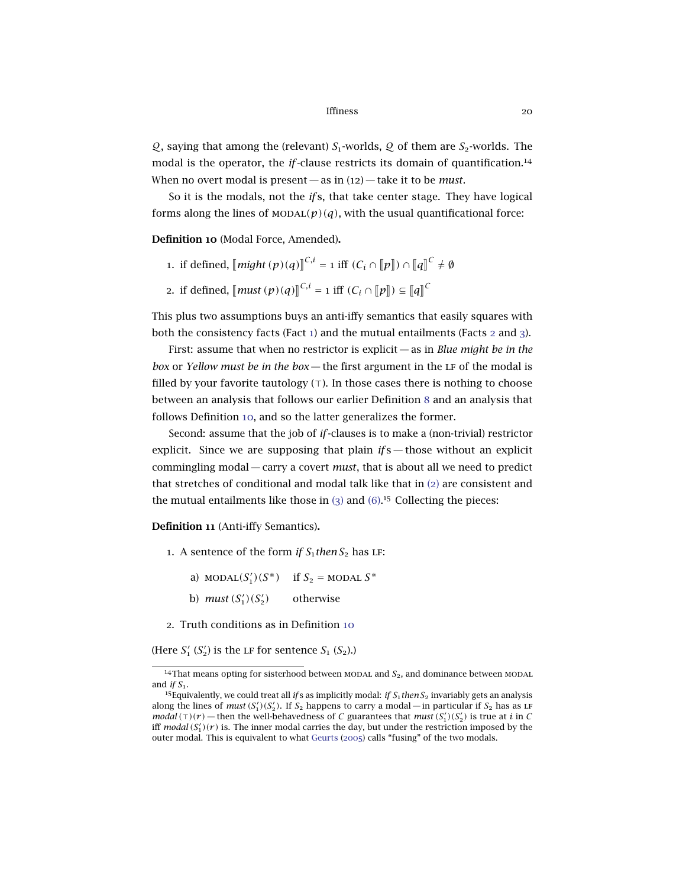$Q$ , saying that among the (relevant)  $S_1$ -worlds,  $Q$  of them are  $S_2$ -worlds. The modal is the operator, the *if*-clause restricts its domain of quantification.<sup>14</sup> When no overt modal is present — as in (12) — take it to be *must*.

So it is the modals, not the *if* s, that take center stage. They have logical forms along the lines of  $MODAL(p)(q)$ , with the usual quantificational force:

<span id="page-19-0"></span>Definition 10 (Modal Force, Amended).

- 1. if defined,  $\llbracket \textit{might} \left( p \right) (q) \rrbracket^{C,i} = 1$  iff  $(C_i \cap \llbracket p \rrbracket) \cap \llbracket q \rrbracket^C \neq \emptyset$
- 2. if defined,  $\left[\text{must}(p)(q)\right]^{C,i} = 1$  iff  $(C_i \cap \llbracket p \rrbracket) \subseteq \llbracket q \rrbracket^C$

This plus two assumptions buys an anti-iffy semantics that easily squares with both the consistency facts (Fact [1](#page-9-0)) and the mutual entailments (Facts [2](#page-10-2) and [3](#page-11-2)).

First: assume that when no restrictor is explicit — as in *Blue might be in the box* or *Yellow must be in the box* — the first argument in the LF of the modal is filled by your favorite tautology  $(\tau)$ . In those cases there is nothing to choose between an analysis that follows our earlier Definition [8](#page-12-2) and an analysis that follows Definition [10](#page-19-0), and so the latter generalizes the former.

Second: assume that the job of *if*-clauses is to make a (non-trivial) restrictor explicit. Since we are supposing that plain *if* s - those without an explicit commingling modal — carry a covert *must*, that is about all we need to predict that stretches of conditional and modal talk like that in ([2](#page-9-1)) are consistent and the mutual entailments like those in  $(3)$  $(3)$  $(3)$  and  $(6)$  $(6)$  $(6)$ .<sup>15</sup> Collecting the pieces:

<span id="page-19-1"></span>Definition 11 (Anti-iffy Semantics).

- 1. A sentence of the form *if*  $S_1$ *then*  $S_2$  has LF:
	- a) MODAL $(S'_1)(S^*)$  if  $S_2$  = MODAL  $S^*$
	- b) *must*  $(S_1') (S_2')$ *)* otherwise
- 2. Truth conditions as in Definition [10](#page-19-0)

(Here  $S'_1$   $(S'_2)$  is the LF for sentence  $S_1$   $(S_2)$ .)

<sup>&</sup>lt;sup>14</sup>That means opting for sisterhood between MODAL and  $S_2$ , and dominance between MODAL and *if*  $S_1$ .

<sup>&</sup>lt;sup>15</sup>Equivalently, we could treat all *if* s as implicitly modal: *if*  $S_1$ *then*  $S_2$  invariably gets an analysis along the lines of *must*  $(S'_1)(S'_2)$ . If  $S_2$  happens to carry a modal—in particular if  $S_2$  has as LF *modal*  $(\tau)(r)$  — then the well-behavedness of *C* guarantees that *must*  $(S'_1)(S'_2)$  is true at *i* in *C* iff *modal*  $(S'_1)(r)$  is. The inner modal carries the day, but under the restriction imposed by the outer modal. This is equivalent to what [Geurts](#page-30-10) ([2005](#page-30-10)) calls "fusing" of the two modals.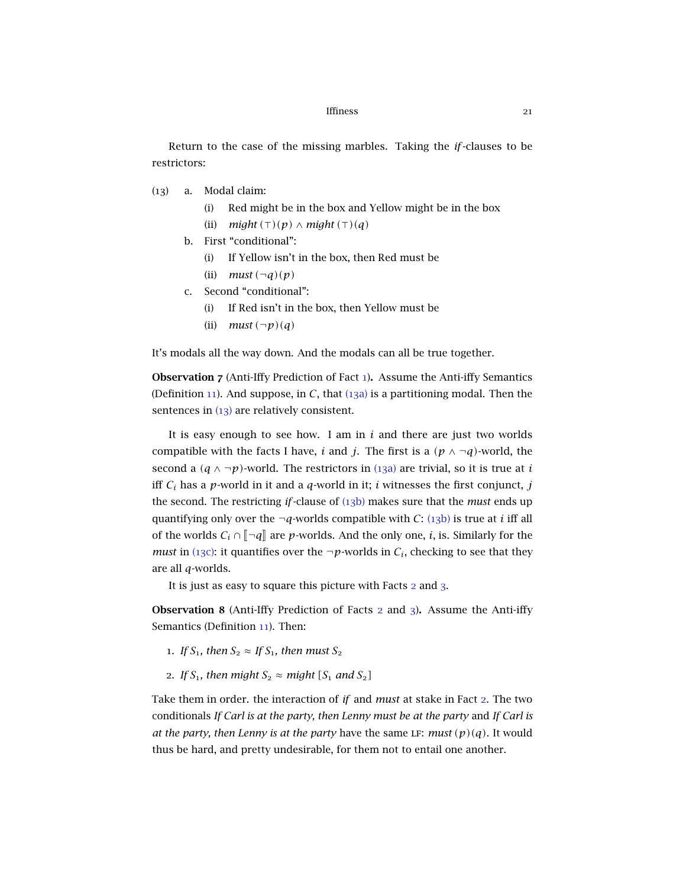<span id="page-20-1"></span>Return to the case of the missing marbles. Taking the *if*-clauses to be restrictors:

- <span id="page-20-2"></span><span id="page-20-0"></span>(13) a. Modal claim:
	- (i) Red might be in the box and Yellow might be in the box (ii)  $might(\tau)(p) \wedge might(\tau)(q)$
	- b. First "conditional":
		- (i) If Yellow isn't in the box, then Red must be
		- (ii) *must*  $(\neg q)(p)$
	- c. Second "conditional":
		- (i) If Red isn't in the box, then Yellow must be
		- (ii)  $must(\neg p)(q)$

<span id="page-20-3"></span>It's modals all the way down. And the modals can all be true together.

Observation 7 (Anti-Iffy Prediction of Fact [1](#page-9-0)). Assume the Anti-iffy Semantics (Definition [11](#page-19-1)). And suppose, in *C*, that ([13](#page-20-0)a) is a partitioning modal. Then the sentences in ([13](#page-20-1)) are relatively consistent.

It is easy enough to see how. I am in *i* and there are just two worlds compatible with the facts I have, *i* and *j*. The first is a  $(p \land \neg q)$ -world, the second a  $(q \land \neg p)$ -world. The restrictors in ([13](#page-20-0)a) are trivial, so it is true at *i* iff *C<sup>i</sup>* has a *p*-world in it and a *q*-world in it; *i* witnesses the first conjunct, *j* the second. The restricting *if*-clause of (13[b\)](#page-20-2) makes sure that the *must* ends up quantifying only over the  $\neg q$ -worlds compatible with *C*: (13[b\)](#page-20-2) is true at *i* iff all of the worlds  $C_i \cap \llbracket \neg q \rrbracket$  are *p*-worlds. And the only one, *i*, is. Similarly for the *must* in (13[c\):](#page-20-3) it quantifies over the  $\neg p$ -worlds in  $C_i$ , checking to see that they are all *q*-worlds.

It is just as easy to square this picture with Facts [2](#page-10-2) and [3](#page-11-2).

Observation 8 (Anti-Iffy Prediction of Facts [2](#page-10-2) and [3](#page-11-2)). Assume the Anti-iffy Semantics (Definition [11](#page-19-1)). Then:

- 1. *If*  $S_1$ , then  $S_2 \approx I f S_1$ , then must  $S_2$
- 2. *If*  $S_1$ , then might  $S_2 \approx$  might  $[S_1 \text{ and } S_2]$

Take them in order. the interaction of *if* and *must* at stake in Fact [2](#page-10-2). The two conditionals *If Carl is at the party, then Lenny must be at the party* and *If Carl is at the party, then Lenny is at the party have the same LF: <i>must*  $(p)(q)$ . It would thus be hard, and pretty undesirable, for them not to entail one another.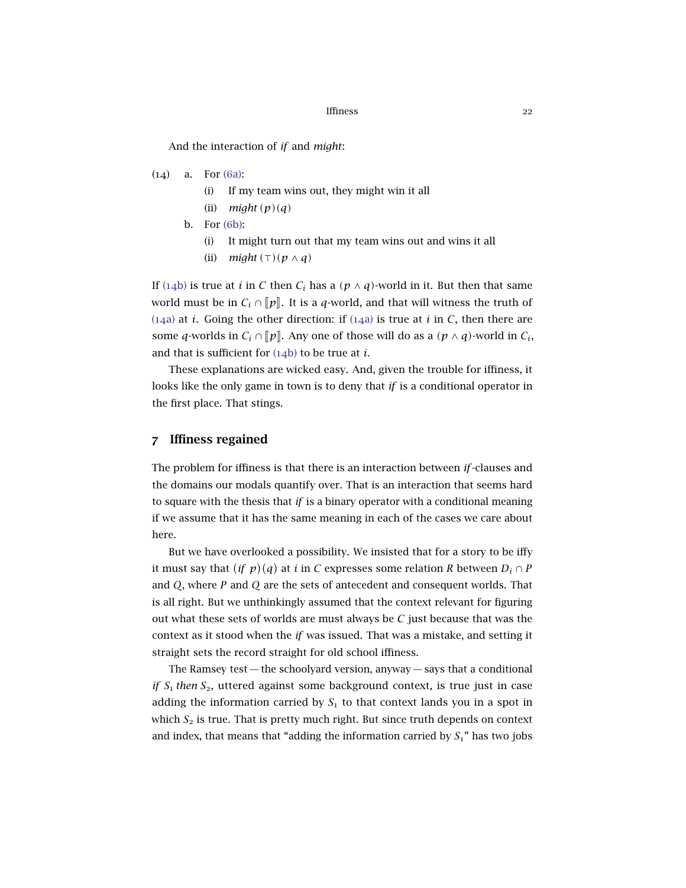And the interaction of *if* and *might*:

- <span id="page-21-1"></span><span id="page-21-0"></span>(14) a. For (6[a\):](#page-11-0)
	- (i) If my team wins out, they might win it all
	- (ii)  $might(p)(q)$
	- b. For (6[b\):](#page-11-1)
		- (i) It might turn out that my team wins out and wins it all
		- (ii) *might*  $(\top)(p \wedge q)$

If ([14](#page-21-0)b) is true at *i* in *C* then  $C_i$  has a ( $p \wedge q$ )-world in it. But then that same world must be in  $C_i \cap [p]$ . It is a *q*-world, and that will witness the truth of ([14](#page-21-1)a) at *i*. Going the other direction: if (14a) is true at *i* in *C*, then there are some *q*-worlds in  $C_i \cap [p]$ . Any one of those will do as a  $(p \land q)$ -world in  $C_i$ , and that is sufficient for ([14](#page-21-0)b) to be true at *i*.

These explanations are wicked easy. And, given the trouble for iffiness, it looks like the only game in town is to deny that *if* is a conditional operator in the first place. That stings.

## 7 Iffiness regained

The problem for iffiness is that there is an interaction between *if*-clauses and the domains our modals quantify over. That is an interaction that seems hard to square with the thesis that *if* is a binary operator with a conditional meaning if we assume that it has the same meaning in each of the cases we care about here.

But we have overlooked a possibility. We insisted that for a story to be iffy it must say that  $(if\,\,p)(q)$  at  $i$  in  $C$  expresses some relation  $R$  between  $D_i\cap P$ and *Q*, where *P* and *Q* are the sets of antecedent and consequent worlds. That is all right. But we unthinkingly assumed that the context relevant for figuring out what these sets of worlds are must always be *C* just because that was the context as it stood when the *if* was issued. That was a mistake, and setting it straight sets the record straight for old school iffiness.

The Ramsey test  $-$  the schoolyard version, anyway  $-$  says that a conditional *if*  $S_1$  *then*  $S_2$ , uttered against some background context, is true just in case adding the information carried by  $S<sub>1</sub>$  to that context lands you in a spot in which  $S_2$  is true. That is pretty much right. But since truth depends on context and index, that means that "adding the information carried by  $S_1$ " has two jobs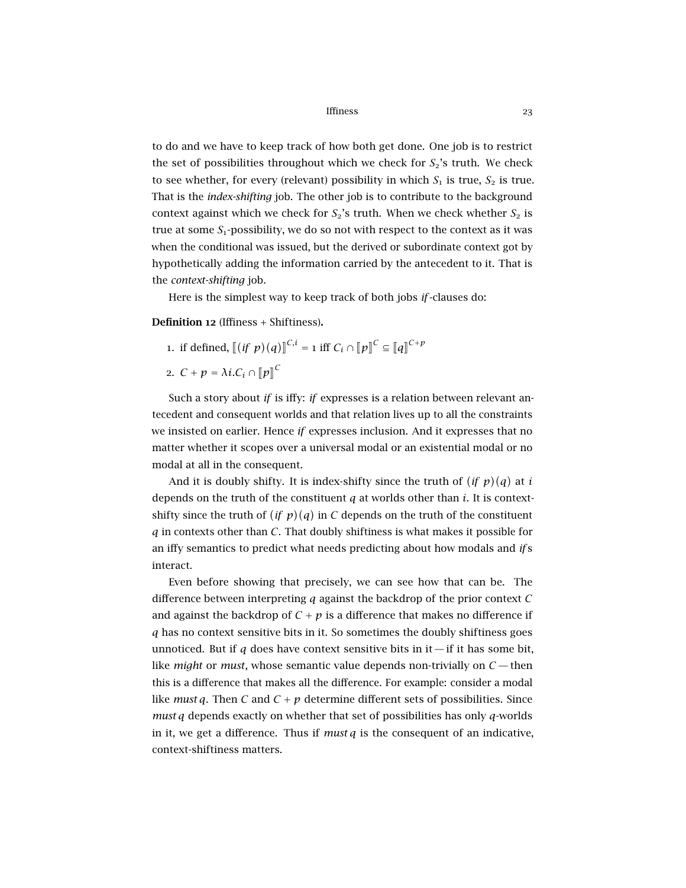to do and we have to keep track of how both get done. One job is to restrict the set of possibilities throughout which we check for  $S_2$ 's truth. We check to see whether, for every (relevant) possibility in which  $S_1$  is true,  $S_2$  is true. That is the *index-shifting* job. The other job is to contribute to the background context against which we check for  $S_2$ 's truth. When we check whether  $S_2$  is true at some  $S_1$ -possibility, we do so not with respect to the context as it was when the conditional was issued, but the derived or subordinate context got by hypothetically adding the information carried by the antecedent to it. That is the *context-shifting* job.

Here is the simplest way to keep track of both jobs *if*-clauses do:

<span id="page-22-0"></span>Definition 12 (Iffiness + Shiftiness).

- 1. if defined,  $[(if \; p)(q)]^{C,i} = 1$  iff  $C_i \cap [p]^C \subseteq [q]^{C+p}$
- 2.  $C + p = \lambda i.C_i \cap [p]^C$

Such a story about *if* is iffy: *if* expresses is a relation between relevant antecedent and consequent worlds and that relation lives up to all the constraints we insisted on earlier. Hence *if* expresses inclusion. And it expresses that no matter whether it scopes over a universal modal or an existential modal or no modal at all in the consequent.

And it is doubly shifty. It is index-shifty since the truth of  $(if p)(q)$  at *i* depends on the truth of the constituent *q* at worlds other than *i*. It is contextshifty since the truth of  $(i f p)(q)$  in *C* depends on the truth of the constituent *q* in contexts other than *C*. That doubly shiftiness is what makes it possible for an iffy semantics to predict what needs predicting about how modals and *if* s interact.

Even before showing that precisely, we can see how that can be. The difference between interpreting *q* against the backdrop of the prior context *C* and against the backdrop of  $C + p$  is a difference that makes no difference if *q* has no context sensitive bits in it. So sometimes the doubly shiftiness goes unnoticed. But if *q* does have context sensitive bits in it—if it has some bit, like *might* or *must*, whose semantic value depends non-trivially on *C* — then this is a difference that makes all the difference. For example: consider a modal like *must q*. Then *C* and  $C + p$  determine different sets of possibilities. Since *must q* depends exactly on whether that set of possibilities has only *q*-worlds in it, we get a difference. Thus if *must q* is the consequent of an indicative, context-shiftiness matters.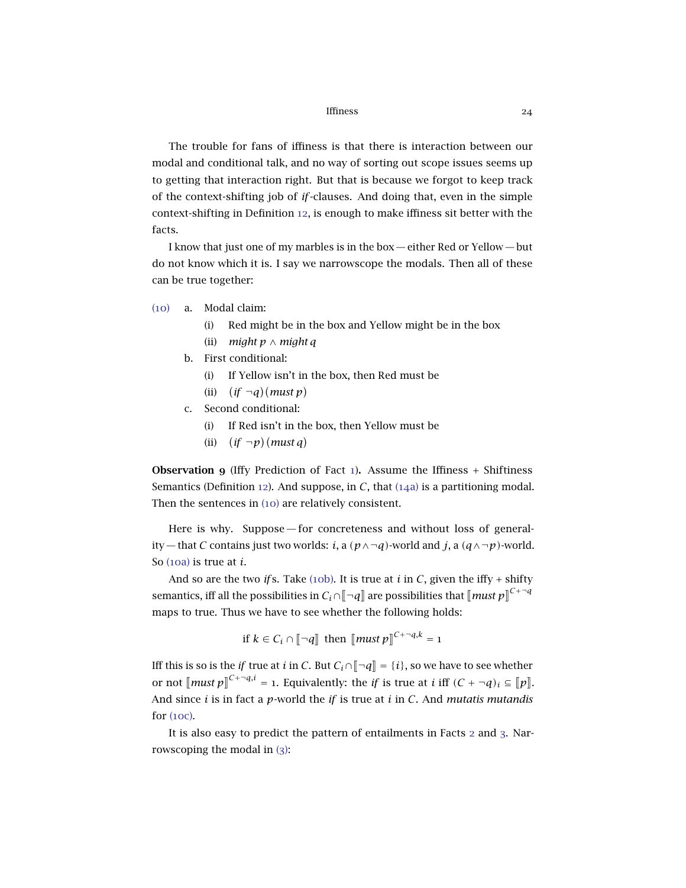The trouble for fans of iffiness is that there is interaction between our modal and conditional talk, and no way of sorting out scope issues seems up to getting that interaction right. But that is because we forgot to keep track of the context-shifting job of *if*-clauses. And doing that, even in the simple context-shifting in Definition [12](#page-22-0), is enough to make iffiness sit better with the facts.

I know that just one of my marbles is in the box — either Red or Yellow — but do not know which it is. I say we narrowscope the modals. Then all of these can be true together:

- <span id="page-23-0"></span>([10](#page-13-3)) a. Modal claim:
	- (i) Red might be in the box and Yellow might be in the box
	- (ii) *might p* ∧ *might q*
	- b. First conditional:
		- (i) If Yellow isn't in the box, then Red must be
		- (ii)  $(if \neg q)(must p)$
	- c. Second conditional:
		- (i) If Red isn't in the box, then Yellow must be
		- (ii)  $(if \neg p)(must q)$

**Observation 9** (Iffy Prediction of Fact [1](#page-9-0)). Assume the Iffiness  $+$  Shiftiness Semantics (Definition [12](#page-22-0)). And suppose, in *C*, that ([14](#page-23-0)a) is a partitioning modal. Then the sentences in ([10](#page-13-3)) are relatively consistent.

Here is why. Suppose— for concreteness and without loss of generality — that *C* contains just two worlds: *i*, a  $(p \land \neg q)$ -world and *j*, a  $(q \land \neg p)$ -world. So ([10](#page-13-2)a) is true at *i*.

And so are the two *if* s. Take (10[b\).](#page-13-0) It is true at *i* in *C*, given the iffy + shifty semantics, iff all the possibilities in  $C_i \cap [\neg q]$  are possibilities that  $[\![ \textit{must} \ p]^{C+\neg q}$ maps to true. Thus we have to see whether the following holds:

if  $k \in C_i \cap [\![\neg q]\!]$  then  $[\![\textit{must } p]\!]^{C + \neg q, k} = 1$ 

Iff this is so is the *if* true at *i* in *C*. But  $C_i \cap \llbracket \neg q \rrbracket = \{i\}$ , so we have to see whether or not  $\llbracket \textit{must } p \rrbracket^{C+\neg q,i} = 1$ . Equivalently: the *if* is true at *i* iff  $(C + \neg q)_i \subseteq \llbracket p \rrbracket$ . And since *i* is in fact a *p*-world the *if* is true at *i* in *C*. And *mutatis mutandis* for ([10](#page-13-1)c).

It is also easy to predict the pattern of entailments in Facts [2](#page-10-2) and [3](#page-11-2). Narrowscoping the modal in ([3](#page-9-2)):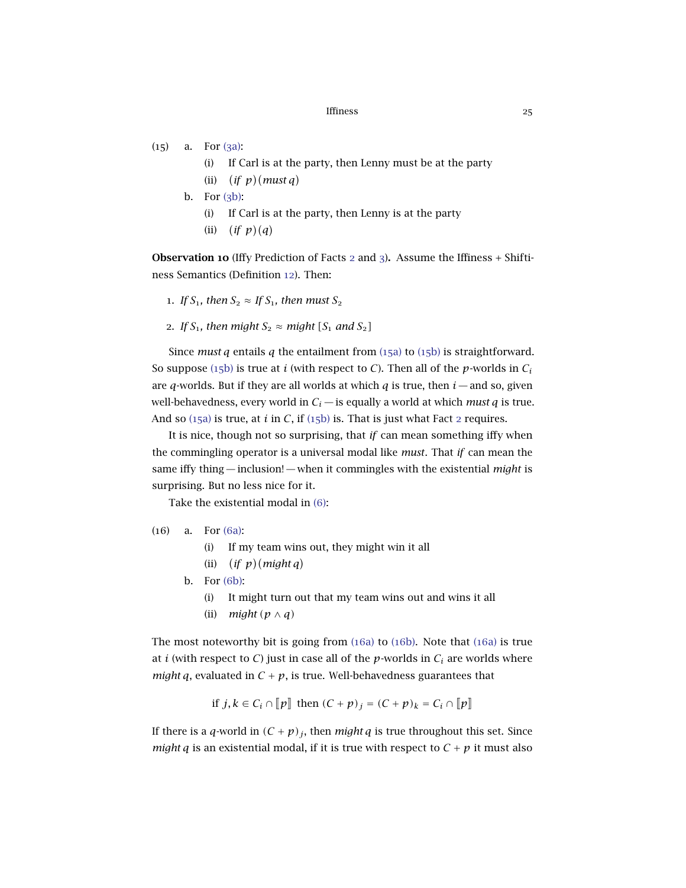- <span id="page-24-1"></span><span id="page-24-0"></span> $(15)$  a. For  $(3a)$ :
	- (i) If Carl is at the party, then Lenny must be at the party
	- (ii)  $(if p)(must q)$
	- b. For  $(3b)$ :
		- (i) If Carl is at the party, then Lenny is at the party
		- (ii) (if  $p$ )(q)

Observation 10 (Iffy Prediction of Facts [2](#page-10-2) and [3](#page-11-2)). Assume the Iffiness + Shiftiness Semantics (Definition [12](#page-22-0)). Then:

- 1. *If*  $S_1$ , then  $S_2 \approx I f S_1$ , then must  $S_2$
- 2. *If*  $S_1$ , then might  $S_2 \approx$  might  $[S_1 \text{ and } S_2]$

Since *must*  $q$  entails  $q$  the entailment from  $(15a)$  $(15a)$  $(15a)$  to  $(15b)$  $(15b)$  is straightforward. So suppose (15[b\)](#page-24-1) is true at *i* (with respect to *C*). Then all of the *p*-worlds in  $C_i$ are *q*-worlds. But if they are all worlds at which *q* is true, then  $i$  — and so, given well-behavedness, every world in  $C_i$  — is equally a world at which *must q* is true. And so  $(15a)$  $(15a)$  $(15a)$  is true, at *i* in *C*, if  $(15b)$  $(15b)$  is. That is just what Fact [2](#page-10-2) requires.

It is nice, though not so surprising, that *if* can mean something iffy when the commingling operator is a universal modal like *must*. That *if* can mean the same iffy thing — inclusion! — when it commingles with the existential *might* is surprising. But no less nice for it.

Take the existential modal in ([6](#page-11-3)):

- <span id="page-24-3"></span><span id="page-24-2"></span>(16) a. For (6[a\):](#page-11-0)
	- (i) If my team wins out, they might win it all
	- (ii)  $(if p)(might q)$
	- b. For (6[b\):](#page-11-1)
		- (i) It might turn out that my team wins out and wins it all
		- (ii) *might (p* ∧ *q)*

The most noteworthy bit is going from ([16](#page-24-2)a) to (16[b\).](#page-24-3) Note that ([16](#page-24-2)a) is true at *i* (with respect to *C*) just in case all of the *p*-worlds in  $C_i$  are worlds where *might q*, evaluated in  $C + p$ , is true. Well-behavedness guarantees that

if 
$$
j, k \in C_i \cap [p]
$$
 then  $(C + p)_j = (C + p)_k = C_i \cap [p]$ 

If there is a *q*-world in  $(C + p)_j$ , then *might q* is true throughout this set. Since *might q* is an existential modal, if it is true with respect to  $C + p$  it must also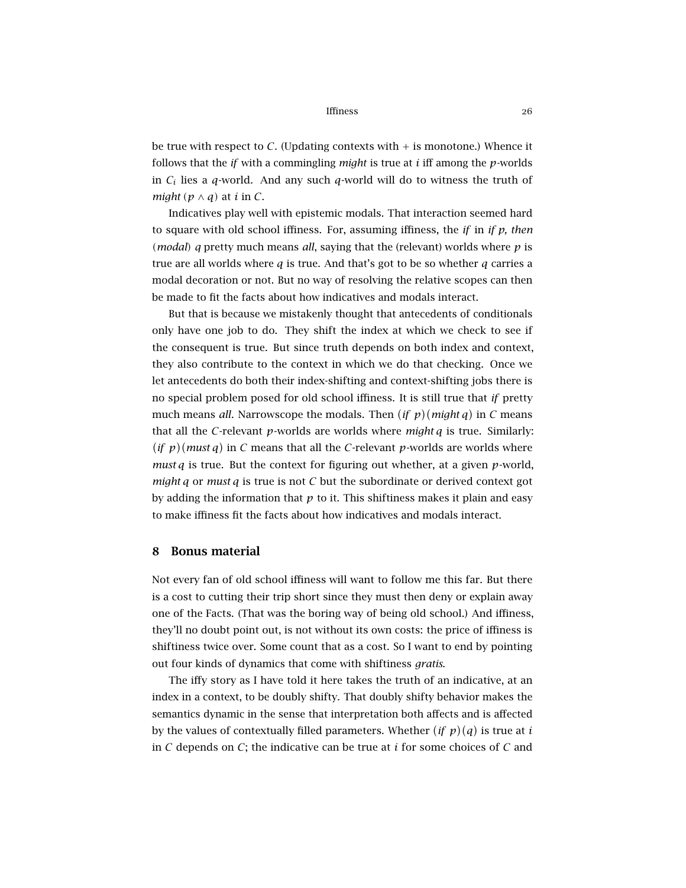be true with respect to  $C$ . (Updating contexts with  $+$  is monotone.) Whence it follows that the *if* with a commingling *might* is true at *i* iff among the *p*-worlds in *C<sup>i</sup>* lies a *q*-world. And any such *q*-world will do to witness the truth of *might*  $(p \land q)$  at *i* in *C*.

Indicatives play well with epistemic modals. That interaction seemed hard to square with old school iffiness. For, assuming iffiness, the *if* in *if p, then (modal) q* pretty much means *all*, saying that the (relevant) worlds where *p* is true are all worlds where *q* is true. And that's got to be so whether *q* carries a modal decoration or not. But no way of resolving the relative scopes can then be made to fit the facts about how indicatives and modals interact.

But that is because we mistakenly thought that antecedents of conditionals only have one job to do. They shift the index at which we check to see if the consequent is true. But since truth depends on both index and context, they also contribute to the context in which we do that checking. Once we let antecedents do both their index-shifting and context-shifting jobs there is no special problem posed for old school iffiness. It is still true that *if* pretty much means *all*. Narrowscope the modals. Then  $(if p)(might q)$  in *C* means that all the *C*-relevant *p*-worlds are worlds where *might q* is true. Similarly:  $(i f p)$ (*must q*) in *C* means that all the *C*-relevant *p*-worlds are worlds where *must q* is true. But the context for figuring out whether, at a given *p*-world, *might q* or *must q* is true is not *C* but the subordinate or derived context got by adding the information that  $p$  to it. This shiftiness makes it plain and easy to make iffiness fit the facts about how indicatives and modals interact.

### 8 Bonus material

Not every fan of old school iffiness will want to follow me this far. But there is a cost to cutting their trip short since they must then deny or explain away one of the Facts. (That was the boring way of being old school.) And iffiness, they'll no doubt point out, is not without its own costs: the price of iffiness is shiftiness twice over. Some count that as a cost. So I want to end by pointing out four kinds of dynamics that come with shiftiness *gratis*.

The iffy story as I have told it here takes the truth of an indicative, at an index in a context, to be doubly shifty. That doubly shifty behavior makes the semantics dynamic in the sense that interpretation both affects and is affected by the values of contextually filled parameters. Whether  $(if p)(q)$  is true at  $i$ in *C* depends on *C*; the indicative can be true at *i* for some choices of *C* and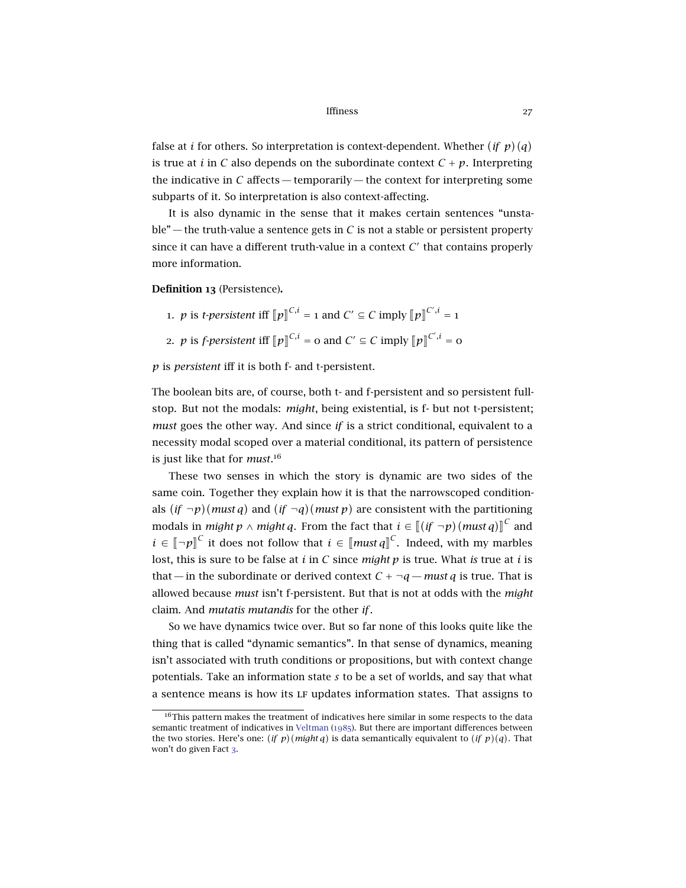false at *i* for others. So interpretation is context-dependent. Whether  $(if p)(q)$ is true at *i* in *C* also depends on the subordinate context  $C + p$ . Interpreting the indicative in  $C$  affects — temporarily — the context for interpreting some subparts of it. So interpretation is also context-affecting.

It is also dynamic in the sense that it makes certain sentences "unstable" — the truth-value a sentence gets in  $C$  is not a stable or persistent property since it can have a different truth-value in a context  $C'$  that contains properly more information.

Definition 13 (Persistence).

- 1. *p* is *t*-persistent iff  $[\![p]\!]^{C,i} = 1$  and  $C' \subseteq C$  imply  $[\![p]\!]^{C',i} = 1$
- 2. *p* is *f-persistent* iff  $[\![p]\!]^{C,i} = 0$  and  $C' \subseteq C$  imply  $[\![p]\!]^{C',i} = 0$

*p* is *persistent* iff it is both f- and t-persistent.

The boolean bits are, of course, both t- and f-persistent and so persistent fullstop. But not the modals: *might*, being existential, is f- but not t-persistent; *must* goes the other way. And since *if* is a strict conditional, equivalent to a necessity modal scoped over a material conditional, its pattern of persistence is just like that for *must*. 16

These two senses in which the story is dynamic are two sides of the same coin. Together they explain how it is that the narrowscoped conditionals  $(if \neg p)(must q)$  and  $(if \neg q)(must p)$  are consistent with the partitioning modals in *might*  $p \wedge might q$ . From the fact that  $i \in [[(if \neg p)(must q)]]^C$  and l<br>I *i* ∈  $\llbracket \neg p \rrbracket^C$  it does not follow that *i* ∈  $\llbracket \textit{must} \textit{q} \rrbracket^C$ . Indeed, with my marbles lost, this is sure to be false at *i* in *C* since *might p* is true. What *is* true at *i* is that — in the subordinate or derived context  $C + \neg q$  — *must q* is true. That is allowed because *must* isn't f-persistent. But that is not at odds with the *might* claim. And *mutatis mutandis* for the other *if*.

So we have dynamics twice over. But so far none of this looks quite like the thing that is called "dynamic semantics". In that sense of dynamics, meaning isn't associated with truth conditions or propositions, but with context change potentials. Take an information state *s* to be a set of worlds, and say that what a sentence means is how its lf updates information states. That assigns to

 $16$ This pattern makes the treatment of indicatives here similar in some respects to the data semantic treatment of indicatives in [Veltman](#page-31-4) ([1985](#page-31-4)). But there are important differences between the two stories. Here's one:  $(if p)(might q)$  is data semantically equivalent to  $(if p)(q)$ . That won't do given Fact [3](#page-11-2).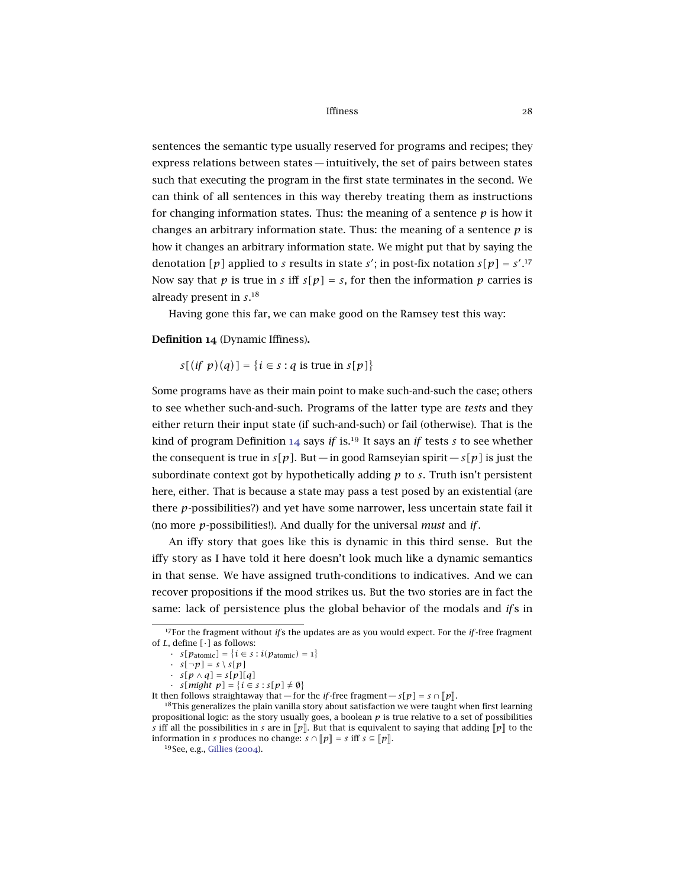sentences the semantic type usually reserved for programs and recipes; they express relations between states— intuitively, the set of pairs between states such that executing the program in the first state terminates in the second. We can think of all sentences in this way thereby treating them as instructions for changing information states. Thus: the meaning of a sentence  $p$  is how it changes an arbitrary information state. Thus: the meaning of a sentence  $p$  is how it changes an arbitrary information state. We might put that by saying the denotation [p] applied to *s* results in state *s'*; in post-fix notation  $s[p] = s'^{17}$ Now say that *p* is true in *s* iff  $s[p] = s$ , for then the information *p* carries is already present in *s*. 18

Having gone this far, we can make good on the Ramsey test this way:

### <span id="page-27-0"></span>Definition 14 (Dynamic Iffiness).

 $s[(if \; p)(q)] = \{i \in s : q \text{ is true in } s[p]\}$ 

Some programs have as their main point to make such-and-such the case; others to see whether such-and-such. Programs of the latter type are *tests* and they either return their input state (if such-and-such) or fail (otherwise). That is the kind of program Definition [14](#page-27-0) says *if* is.<sup>19</sup> It says an *if* tests *s* to see whether the consequent is true in  $s[p]$ . But — in good Ramseyian spirit —  $s[p]$  is just the subordinate context got by hypothetically adding *p* to *s*. Truth isn't persistent here, either. That is because a state may pass a test posed by an existential (are there *p*-possibilities?) and yet have some narrower, less uncertain state fail it (no more *p*-possibilities!). And dually for the universal *must* and *if*.

An iffy story that goes like this is dynamic in this third sense. But the iffy story as I have told it here doesn't look much like a dynamic semantics in that sense. We have assigned truth-conditions to indicatives. And we can recover propositions if the mood strikes us. But the two stories are in fact the same: lack of persistence plus the global behavior of the modals and *if* s in

*∙ s*[*might*  $p$ ] = {*i* ∈ *s* : *s*[ $p$ ]  $\neq$   $\emptyset$ }

<sup>17</sup>For the fragment without *if* s the updates are as you would expect. For the *if*-free fragment of *L*, define *[*·*]* as follows:

<sup>•</sup> *s*[ $p_{atomic}$ ] = {*i* ∈ *s* : *i*( $p_{atomic}$ ) = 1}

 $\cdot$  *s*[ $\neg p$ ] = *s* \ *s*[ $p$ ]

<sup>•</sup> *s[p* ∧ *q]* = *s[p][q]*

It then follows straightaway that — for the *if*-free fragment —  $s[p] = s \cap [p]$ .

 $18$ This generalizes the plain vanilla story about satisfaction we were taught when first learning propositional logic: as the story usually goes, a boolean *p* is true relative to a set of possibilities *s* iff all the possibilities in *s* are in  $\llbracket p \rrbracket$ . But that is equivalent to saying that adding  $\llbracket p \rrbracket$  to the information in *s* produces no change:  $s \cap [p] = s$  iff  $s \subseteq [p]$ .

<sup>19</sup>See, e.g., [Gillies](#page-31-3) ([2004](#page-31-3)).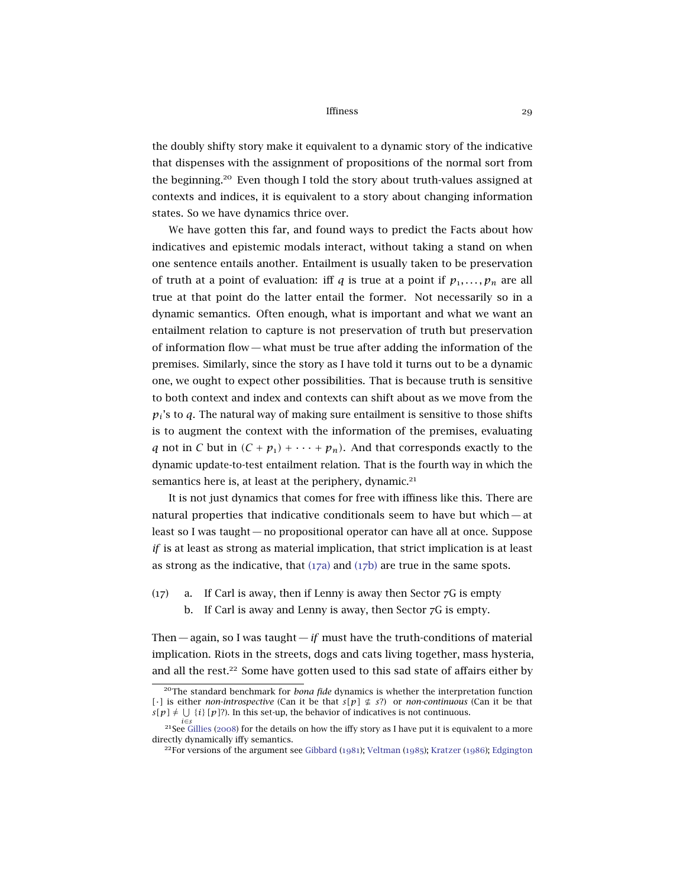the doubly shifty story make it equivalent to a dynamic story of the indicative that dispenses with the assignment of propositions of the normal sort from the beginning.<sup>20</sup> Even though I told the story about truth-values assigned at contexts and indices, it is equivalent to a story about changing information states. So we have dynamics thrice over.

We have gotten this far, and found ways to predict the Facts about how indicatives and epistemic modals interact, without taking a stand on when one sentence entails another. Entailment is usually taken to be preservation of truth at a point of evaluation: iff *q* is true at a point if  $p_1, \ldots, p_n$  are all true at that point do the latter entail the former. Not necessarily so in a dynamic semantics. Often enough, what is important and what we want an entailment relation to capture is not preservation of truth but preservation of information flow— what must be true after adding the information of the premises. Similarly, since the story as I have told it turns out to be a dynamic one, we ought to expect other possibilities. That is because truth is sensitive to both context and index and contexts can shift about as we move from the  $p_i$ 's to *q*. The natural way of making sure entailment is sensitive to those shifts is to augment the context with the information of the premises, evaluating *q* not in *C* but in  $(C + p_1) + \cdots + p_n$ . And that corresponds exactly to the dynamic update-to-test entailment relation. That is the fourth way in which the semantics here is, at least at the periphery, dynamic.<sup>21</sup>

It is not just dynamics that comes for free with iffiness like this. There are natural properties that indicative conditionals seem to have but which— at least so I was taught — no propositional operator can have all at once. Suppose *if* is at least as strong as material implication, that strict implication is at least as strong as the indicative, that  $(17a)$  $(17a)$  $(17a)$  and  $(17b)$  are true in the same spots.

- <span id="page-28-1"></span><span id="page-28-0"></span> $(17)$  a. If Carl is away, then if Lenny is away then Sector  $7G$  is empty
	- b. If Carl is away and Lenny is away, then Sector 7G is empty.

Then— again, so I was taught—*if* must have the truth-conditions of material implication. Riots in the streets, dogs and cats living together, mass hysteria, and all the rest.<sup>22</sup> Some have gotten used to this sad state of affairs either by

<sup>20</sup>The standard benchmark for *bona fide* dynamics is whether the interpretation function *[*·*]* is either *non-introspective* (Can it be that  $s[p] \not\subseteq s$ ?) or *non-continuous* (Can it be that  $s[p] \neq \bigcup \{i\}$  [p]?). In this set-up, the behavior of indicatives is not continuous.

*i*∈*s* <sup>21</sup>See [Gillies](#page-31-8) ([2008](#page-31-8)) for the details on how the iffy story as I have put it is equivalent to a more directly dynamically iffy semantics.

<sup>&</sup>lt;sup>22</sup>For versions of the argument see [Gibbard](#page-30-11) ([1981](#page-30-11)); [Veltman](#page-31-4) ([1985](#page-31-4)); [Kratzer](#page-31-1) ([1986](#page-31-1)); [Edgington](#page-30-12)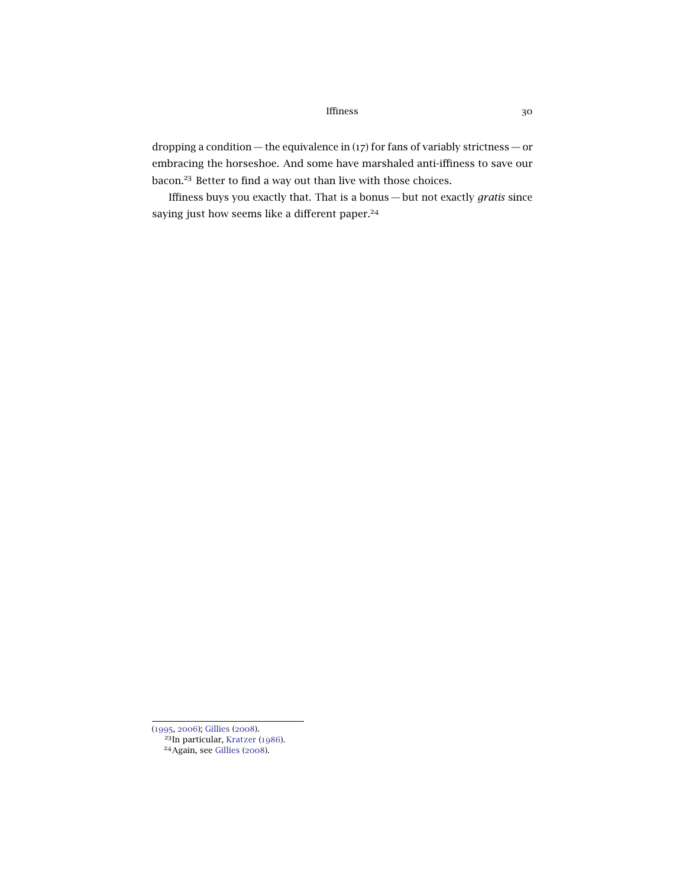dropping a condition — the equivalence in (17) for fans of variably strictness — or embracing the horseshoe. And some have marshaled anti-iffiness to save our bacon.<sup>23</sup> Better to find a way out than live with those choices.

Iffiness buys you exactly that. That is a bonus — but not exactly *gratis* since saying just how seems like a different paper.<sup>24</sup>

<sup>(</sup>[1995](#page-30-12), [2006](#page-30-13)); [Gillies](#page-31-8) ([2008](#page-31-8)). <sup>23</sup>In particular, [Kratzer](#page-31-1) ([1986](#page-31-1)). <sup>24</sup>Again, see [Gillies](#page-31-8) ([2008](#page-31-8)).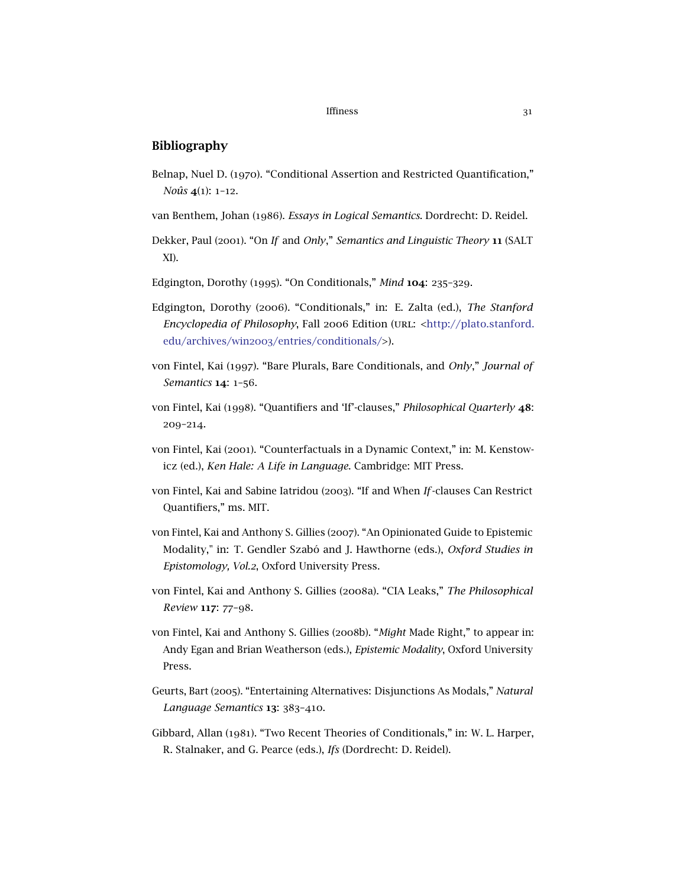## Bibliography

- <span id="page-30-7"></span>Belnap, Nuel D. (1970). "Conditional Assertion and Restricted Quantification," *Noûs* 4(1): 1–12.
- <span id="page-30-4"></span>van Benthem, Johan (1986). *Essays in Logical Semantics*. Dordrecht: D. Reidel.
- <span id="page-30-8"></span>Dekker, Paul (2001). "On *If* and *Only*," *Semantics and Linguistic Theory* 11 (SALT XI).
- <span id="page-30-12"></span>Edgington, Dorothy (1995). "On Conditionals," *Mind* 104: 235–329.
- <span id="page-30-13"></span>Edgington, Dorothy (2006). "Conditionals," in: E. Zalta (ed.), *The Stanford Encyclopedia of Philosophy*, Fall 2006 Edition (url: [<http://plato.stanford.](http://plato.stanford.edu/archives/win2003/entries/conditionals/) edu/archives/win2003[/entries/conditionals/>](http://plato.stanford.edu/archives/win2003/entries/conditionals/)).
- <span id="page-30-5"></span>von Fintel, Kai (1997). "Bare Plurals, Bare Conditionals, and *Only*," *Journal of Semantics* 14: 1–56.
- <span id="page-30-3"></span>von Fintel, Kai (1998). "Quantifiers and 'If'-clauses," *Philosophical Quarterly* 48: 209–214.
- <span id="page-30-6"></span>von Fintel, Kai (2001). "Counterfactuals in a Dynamic Context," in: M. Kenstowicz (ed.), *Ken Hale: A Life in Language*. Cambridge: MIT Press.
- <span id="page-30-9"></span>von Fintel, Kai and Sabine Iatridou (2003). "If and When *If*-clauses Can Restrict Quantifiers," ms. MIT.
- <span id="page-30-0"></span>von Fintel, Kai and Anthony S. Gillies (2007). "An Opinionated Guide to Epistemic Modality," in: T. Gendler Szabó and J. Hawthorne (eds.), *Oxford Studies in Epistomology, Vol.2*, Oxford University Press.
- <span id="page-30-1"></span>von Fintel, Kai and Anthony S. Gillies (2008a). "CIA Leaks," *The Philosophical Review* 117: 77–98.
- <span id="page-30-2"></span>von Fintel, Kai and Anthony S. Gillies (2008b). "*Might* Made Right," to appear in: Andy Egan and Brian Weatherson (eds.), *Epistemic Modality*, Oxford University Press.
- <span id="page-30-10"></span>Geurts, Bart (2005). "Entertaining Alternatives: Disjunctions As Modals," *Natural Language Semantics* 13: 383–410.
- <span id="page-30-11"></span>Gibbard, Allan (1981). "Two Recent Theories of Conditionals," in: W. L. Harper, R. Stalnaker, and G. Pearce (eds.), *Ifs* (Dordrecht: D. Reidel).